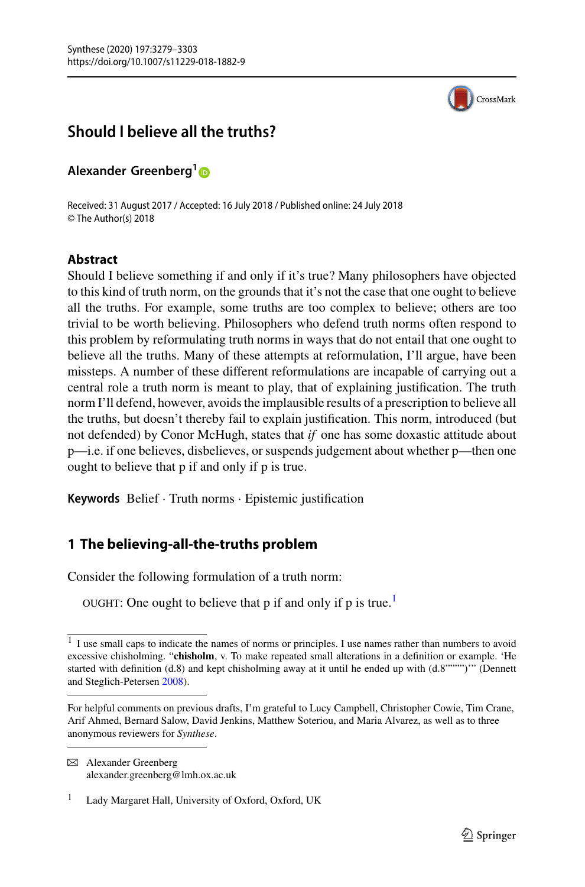

# **Should I believe all the truths?**

## **Alexander Greenberg[1](http://orcid.org/0000-0002-2501-878X)**

Received: 31 August 2017 / Accepted: 16 July 2018 / Published online: 24 July 2018 © The Author(s) 2018

## **Abstract**

Should I believe something if and only if it's true? Many philosophers have objected to this kind of truth norm, on the grounds that it's not the case that one ought to believe all the truths. For example, some truths are too complex to believe; others are too trivial to be worth believing. Philosophers who defend truth norms often respond to this problem by reformulating truth norms in ways that do not entail that one ought to believe all the truths. Many of these attempts at reformulation, I'll argue, have been missteps. A number of these different reformulations are incapable of carrying out a central role a truth norm is meant to play, that of explaining justification. The truth norm I'll defend, however, avoids the implausible results of a prescription to believe all the truths, but doesn't thereby fail to explain justification. This norm, introduced (but not defended) by Conor McHugh, states that *if* one has some doxastic attitude about p—i.e. if one believes, disbelieves, or suspends judgement about whether p—then one ought to believe that p if and only if p is true.

**Keywords** Belief · Truth norms · Epistemic justification

## **1 The believing-all-the-truths problem**

Consider the following formulation of a truth norm:

<span id="page-0-0"></span> $OUGHT$ : One ought to believe that p if and only if p is true.<sup>[1](#page-0-0)</sup>

<sup>&</sup>lt;sup>1</sup> I use small caps to indicate the names of norms or principles. I use names rather than numbers to avoid excessive chisholming. "**chisholm**, v. To make repeated small alterations in a definition or example. 'He started with definition (d.8) and kept chisholming away at it until he ended up with (d.8"""")" (Dennett and Steglich-Petersen [2008\)](#page-24-0).

For helpful comments on previous drafts, I'm grateful to Lucy Campbell, Christopher Cowie, Tim Crane, Arif Ahmed, Bernard Salow, David Jenkins, Matthew Soteriou, and Maria Alvarez, as well as to three anonymous reviewers for *Synthese*.

B Alexander Greenberg alexander.greenberg@lmh.ox.ac.uk

<sup>&</sup>lt;sup>1</sup> Lady Margaret Hall, University of Oxford, Oxford, UK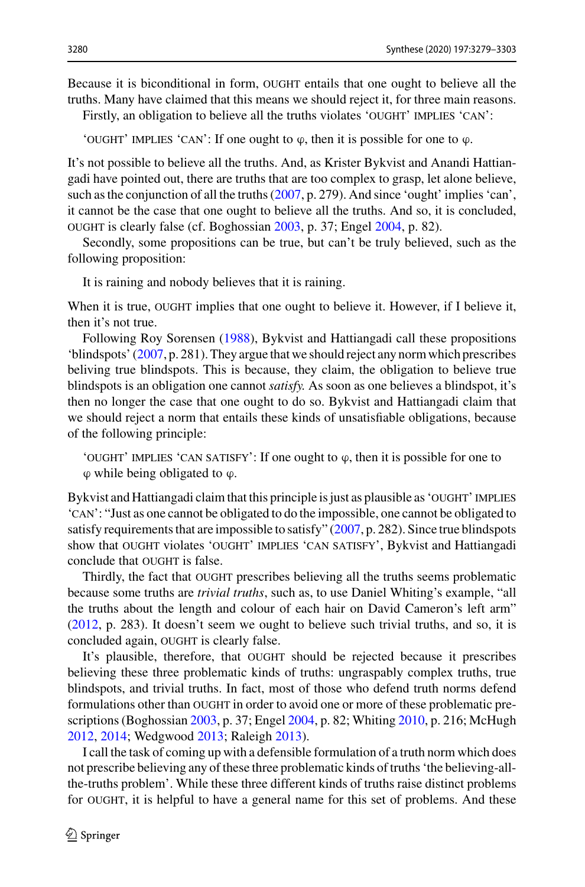Because it is biconditional in form, OUGHT entails that one ought to believe all the truths. Many have claimed that this means we should reject it, for three main reasons.

Firstly, an obligation to believe all the truths violates 'OUGHT' IMPLIES 'CAN':

'OUGHT' IMPLIES 'CAN': If one ought to  $\varphi$ , then it is possible for one to  $\varphi$ .

It's not possible to believe all the truths. And, as Krister Bykvist and Anandi Hattiangadi have pointed out, there are truths that are too complex to grasp, let alone believe, such as the conjunction of all the truths [\(2007,](#page-24-1) p. 279). And since 'ought' implies 'can', it cannot be the case that one ought to believe all the truths. And so, it is concluded, ought is clearly false (cf. Boghossian [2003,](#page-23-0) p. 37; Engel [2004,](#page-24-2) p. 82).

Secondly, some propositions can be true, but can't be truly believed, such as the following proposition:

It is raining and nobody believes that it is raining.

When it is true, OUGHT implies that one ought to believe it. However, if I believe it, then it's not true.

Following Roy Sorensen [\(1988\)](#page-24-3), Bykvist and Hattiangadi call these propositions 'blindspots' [\(2007,](#page-24-1) p. 281). They argue that we should reject any norm which prescribes beliving true blindspots. This is because, they claim, the obligation to believe true blindspots is an obligation one cannot *satisfy.* As soon as one believes a blindspot, it's then no longer the case that one ought to do so. Bykvist and Hattiangadi claim that we should reject a norm that entails these kinds of unsatisfiable obligations, because of the following principle:

'OUGHT' IMPLIES 'CAN SATISFY': If one ought to  $\varphi$ , then it is possible for one to  $\varphi$  while being obligated to  $\varphi$ .

Bykvist and Hattiangadi claim that this principle is just as plausible as 'OUGHT' IMPLIES 'can': "Just as one cannot be obligated to do the impossible, one cannot be obligated to satisfy requirements that are impossible to satisfy" [\(2007,](#page-24-1) p. 282). Since true blindspots show that OUGHT violates 'OUGHT' IMPLIES 'CAN SATISFY', Bykvist and Hattiangadi conclude that OUGHT is false.

Thirdly, the fact that OUGHT prescribes believing all the truths seems problematic because some truths are *trivial truths*, such as, to use Daniel Whiting's example, "all the truths about the length and colour of each hair on David Cameron's left arm" [\(2012,](#page-24-4) p. 283). It doesn't seem we ought to believe such trivial truths, and so, it is concluded again, OUGHT is clearly false.

It's plausible, therefore, that OUGHT should be rejected because it prescribes believing these three problematic kinds of truths: ungraspably complex truths, true blindspots, and trivial truths. In fact, most of those who defend truth norms defend formulations other than OUGHT in order to avoid one or more of these problematic prescriptions (Boghossian [2003,](#page-23-0) p. 37; Engel [2004,](#page-24-2) p. 82; Whiting [2010,](#page-24-5) p. 216; McHugh [2012,](#page-24-6) [2014;](#page-24-7) Wedgwood [2013;](#page-24-8) Raleigh [2013\)](#page-24-9).

I call the task of coming up with a defensible formulation of a truth norm which does not prescribe believing any of these three problematic kinds of truths 'the believing-allthe-truths problem'. While these three different kinds of truths raise distinct problems for OUGHT, it is helpful to have a general name for this set of problems. And these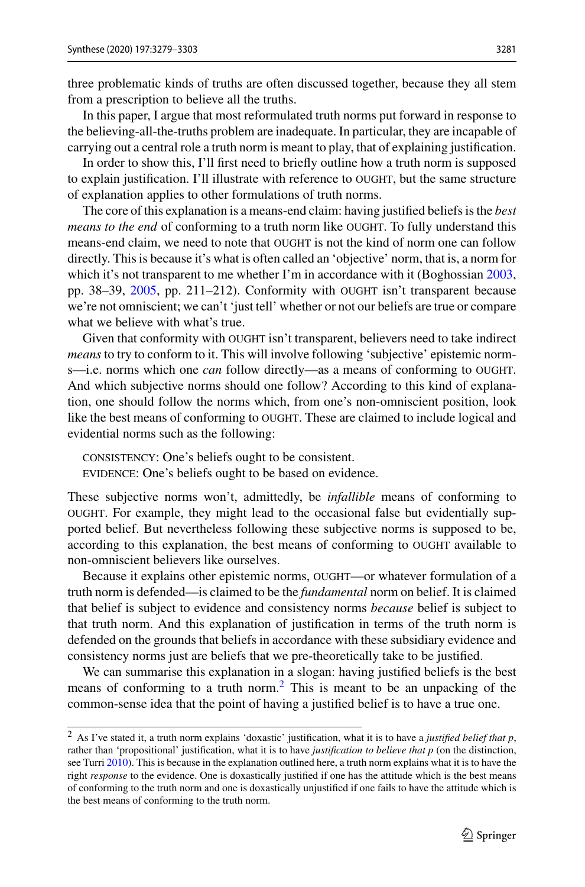three problematic kinds of truths are often discussed together, because they all stem from a prescription to believe all the truths.

In this paper, I argue that most reformulated truth norms put forward in response to the believing-all-the-truths problem are inadequate. In particular, they are incapable of carrying out a central role a truth norm is meant to play, that of explaining justification.

In order to show this, I'll first need to briefly outline how a truth norm is supposed to explain justification. I'll illustrate with reference to ought, but the same structure of explanation applies to other formulations of truth norms.

The core of this explanation is a means-end claim: having justified beliefs is the *best means to the end* of conforming to a truth norm like OUGHT. To fully understand this means-end claim, we need to note that OUGHT is not the kind of norm one can follow directly. This is because it's what is often called an 'objective' norm, that is, a norm for which it's not transparent to me whether I'm in accordance with it (Boghossian [2003,](#page-23-0) pp.  $38-39$ ,  $2005$ , pp.  $211-212$ ). Conformity with OUGHT isn't transparent because we're not omniscient; we can't 'just tell' whether or not our beliefs are true or compare what we believe with what's true.

Given that conformity with OUGHT isn't transparent, believers need to take indirect *means* to try to conform to it. This will involve following 'subjective' epistemic norms—i.e. norms which one *can* follow directly—as a means of conforming to ought. And which subjective norms should one follow? According to this kind of explanation, one should follow the norms which, from one's non-omniscient position, look like the best means of conforming to OUGHT. These are claimed to include logical and evidential norms such as the following:

consistency: One's beliefs ought to be consistent. evidence: One's beliefs ought to be based on evidence.

These subjective norms won't, admittedly, be *infallible* means of conforming to ought. For example, they might lead to the occasional false but evidentially supported belief. But nevertheless following these subjective norms is supposed to be, according to this explanation, the best means of conforming to OUGHT available to non-omniscient believers like ourselves.

Because it explains other epistemic norms, ought—or whatever formulation of a truth norm is defended—is claimed to be the *fundamental* norm on belief. It is claimed that belief is subject to evidence and consistency norms *because* belief is subject to that truth norm. And this explanation of justification in terms of the truth norm is defended on the grounds that beliefs in accordance with these subsidiary evidence and consistency norms just are beliefs that we pre-theoretically take to be justified.

We can summarise this explanation in a slogan: having justified beliefs is the best means of conforming to a truth norm.[2](#page-2-0) This is meant to be an unpacking of the common-sense idea that the point of having a justified belief is to have a true one.

<span id="page-2-0"></span><sup>2</sup> As I've stated it, a truth norm explains 'doxastic' justification, what it is to have a *justified belief that p*, rather than 'propositional' justification, what it is to have *justification to believe that p* (on the distinction, see Turri [2010\)](#page-24-10). This is because in the explanation outlined here, a truth norm explains what it is to have the right *response* to the evidence. One is doxastically justified if one has the attitude which is the best means of conforming to the truth norm and one is doxastically unjustified if one fails to have the attitude which is the best means of conforming to the truth norm.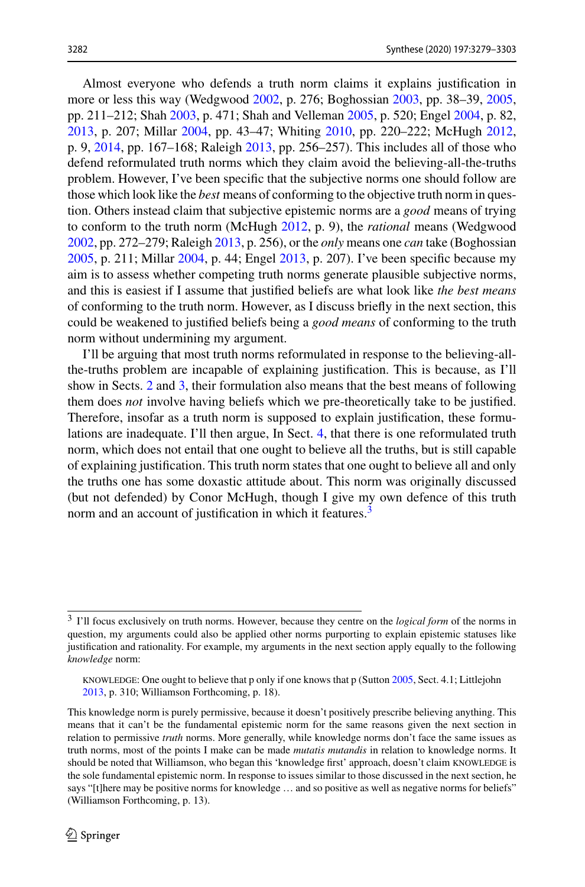Almost everyone who defends a truth norm claims it explains justification in more or less this way (Wedgwood [2002,](#page-24-11) p. 276; Boghossian [2003,](#page-23-0) pp. 38–39, [2005,](#page-23-1) pp. 211–212; Shah [2003,](#page-24-12) p. 471; Shah and Velleman [2005,](#page-24-13) p. 520; Engel [2004,](#page-24-2) p. 82, [2013,](#page-24-14) p. 207; Millar [2004,](#page-24-15) pp. 43–47; Whiting [2010,](#page-24-5) pp. 220–222; McHugh [2012,](#page-24-6) p. 9, [2014,](#page-24-7) pp. 167–168; Raleigh [2013,](#page-24-9) pp. 256–257). This includes all of those who defend reformulated truth norms which they claim avoid the believing-all-the-truths problem. However, I've been specific that the subjective norms one should follow are those which look like the *best* means of conforming to the objective truth norm in question. Others instead claim that subjective epistemic norms are a *good* means of trying to conform to the truth norm (McHugh [2012,](#page-24-6) p. 9), the *rational* means (Wedgwood [2002,](#page-24-11) pp. 272–279; Raleigh [2013,](#page-24-9) p. 256), or the *only* means one *can* take (Boghossian [2005,](#page-23-1) p. 211; Millar [2004,](#page-24-15) p. 44; Engel [2013,](#page-24-14) p. 207). I've been specific because my aim is to assess whether competing truth norms generate plausible subjective norms, and this is easiest if I assume that justified beliefs are what look like *the best means* of conforming to the truth norm. However, as I discuss briefly in the next section, this could be weakened to justified beliefs being a *good means* of conforming to the truth norm without undermining my argument.

I'll be arguing that most truth norms reformulated in response to the believing-allthe-truths problem are incapable of explaining justification. This is because, as I'll show in Sects. [2](#page-4-0) and [3,](#page-7-0) their formulation also means that the best means of following them does *not* involve having beliefs which we pre-theoretically take to be justified. Therefore, insofar as a truth norm is supposed to explain justification, these formulations are inadequate. I'll then argue, In Sect. [4,](#page-9-0) that there is one reformulated truth norm, which does not entail that one ought to believe all the truths, but is still capable of explaining justification. This truth norm states that one ought to believe all and only the truths one has some doxastic attitude about. This norm was originally discussed (but not defended) by Conor McHugh, though I give my own defence of this truth norm and an account of justification in which it features.<sup>[3](#page-3-0)</sup>

<span id="page-3-0"></span><sup>3</sup> I'll focus exclusively on truth norms. However, because they centre on the *logical form* of the norms in question, my arguments could also be applied other norms purporting to explain epistemic statuses like justification and rationality. For example, my arguments in the next section apply equally to the following *knowledge* norm:

knowledge: One ought to believe that p only if one knows that p (Sutton [2005,](#page-24-16) Sect. 4.1; Littlejohn [2013,](#page-24-17) p. 310; Williamson Forthcoming, p. 18).

This knowledge norm is purely permissive, because it doesn't positively prescribe believing anything. This means that it can't be the fundamental epistemic norm for the same reasons given the next section in relation to permissive *truth* norms. More generally, while knowledge norms don't face the same issues as truth norms, most of the points I make can be made *mutatis mutandis* in relation to knowledge norms. It should be noted that Williamson, who began this 'knowledge first' approach, doesn't claim KNOWLEDGE is the sole fundamental epistemic norm. In response to issues similar to those discussed in the next section, he says "[t]here may be positive norms for knowledge … and so positive as well as negative norms for beliefs" (Williamson Forthcoming, p. 13).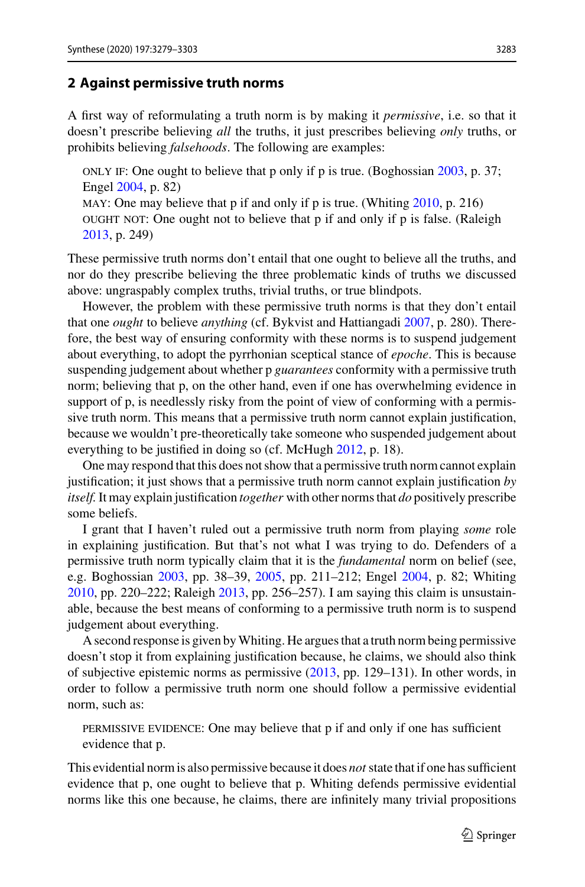### <span id="page-4-0"></span>**2 Against permissive truth norms**

A first way of reformulating a truth norm is by making it *permissive*, i.e. so that it doesn't prescribe believing *all* the truths, it just prescribes believing *only* truths, or prohibits believing *falsehoods*. The following are examples:

only if: One ought to believe that p only if p is true. (Boghossian [2003,](#page-23-0) p. 37; Engel [2004,](#page-24-2) p. 82) may: One may believe that p if and only if p is true. (Whiting [2010,](#page-24-5) p. 216) ought not: One ought not to believe that p if and only if p is false. (Raleigh [2013,](#page-24-9) p. 249)

These permissive truth norms don't entail that one ought to believe all the truths, and nor do they prescribe believing the three problematic kinds of truths we discussed above: ungraspably complex truths, trivial truths, or true blindpots.

However, the problem with these permissive truth norms is that they don't entail that one *ought* to believe *anything* (cf. Bykvist and Hattiangadi [2007,](#page-24-1) p. 280). Therefore, the best way of ensuring conformity with these norms is to suspend judgement about everything, to adopt the pyrrhonian sceptical stance of *epoche*. This is because suspending judgement about whether p *guarantees* conformity with a permissive truth norm; believing that p, on the other hand, even if one has overwhelming evidence in support of p, is needlessly risky from the point of view of conforming with a permissive truth norm. This means that a permissive truth norm cannot explain justification, because we wouldn't pre-theoretically take someone who suspended judgement about everything to be justified in doing so (cf. McHugh [2012,](#page-24-6) p. 18).

One may respond that this does not show that a permissive truth norm cannot explain justification; it just shows that a permissive truth norm cannot explain justification *by itself.*It may explain justification *together* with other norms that *do* positively prescribe some beliefs.

I grant that I haven't ruled out a permissive truth norm from playing *some* role in explaining justification. But that's not what I was trying to do. Defenders of a permissive truth norm typically claim that it is the *fundamental* norm on belief (see, e.g. Boghossian [2003,](#page-23-0) pp. 38–39, [2005,](#page-23-1) pp. 211–212; Engel [2004,](#page-24-2) p. 82; Whiting [2010,](#page-24-5) pp. 220–222; Raleigh [2013,](#page-24-9) pp. 256–257). I am saying this claim is unsustainable, because the best means of conforming to a permissive truth norm is to suspend judgement about everything.

A second response is given byWhiting. He argues that a truth norm being permissive doesn't stop it from explaining justification because, he claims, we should also think of subjective epistemic norms as permissive [\(2013,](#page-24-18) pp. 129–131). In other words, in order to follow a permissive truth norm one should follow a permissive evidential norm, such as:

permissive evidence: One may believe that p if and only if one has sufficient evidence that p.

This evidential norm is also permissive because it does *not* state that if one has sufficient evidence that p, one ought to believe that p. Whiting defends permissive evidential norms like this one because, he claims, there are infinitely many trivial propositions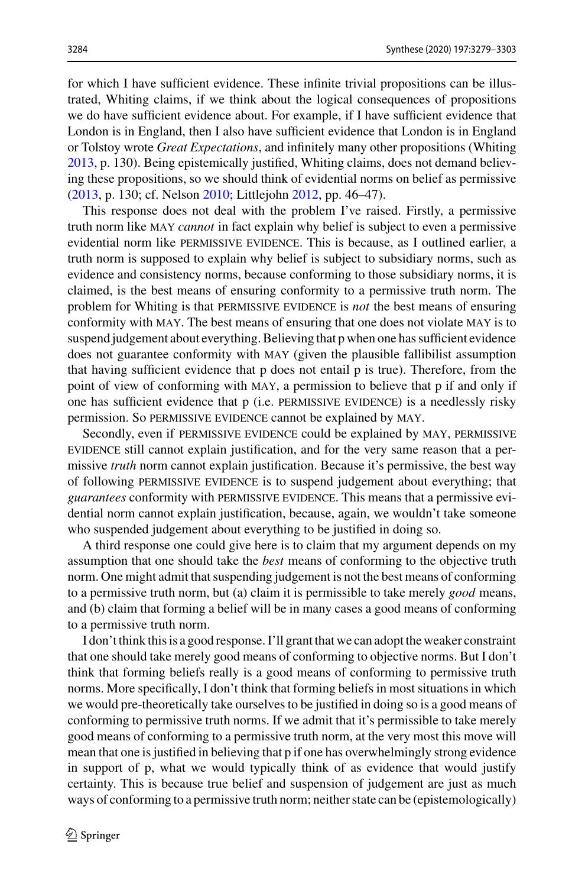for which I have sufficient evidence. These infinite trivial propositions can be illustrated, Whiting claims, if we think about the logical consequences of propositions we do have sufficient evidence about. For example, if I have sufficient evidence that London is in England, then I also have sufficient evidence that London is in England or Tolstoy wrote *Great Expectations*, and infinitely many other propositions (Whiting [2013,](#page-24-18) p. 130). Being epistemically justified, Whiting claims, does not demand believing these propositions, so we should think of evidential norms on belief as permissive [\(2013,](#page-24-18) p. 130; cf. Nelson [2010;](#page-24-19) Littlejohn [2012,](#page-24-20) pp. 46–47).

This response does not deal with the problem I've raised. Firstly, a permissive truth norm like may *cannot* in fact explain why belief is subject to even a permissive evidential norm like permissive evidence. This is because, as I outlined earlier, a truth norm is supposed to explain why belief is subject to subsidiary norms, such as evidence and consistency norms, because conforming to those subsidiary norms, it is claimed, is the best means of ensuring conformity to a permissive truth norm. The problem for Whiting is that PERMISSIVE EVIDENCE is *not* the best means of ensuring conformity with may. The best means of ensuring that one does not violate may is to suspend judgement about everything. Believing that p when one has sufficient evidence does not guarantee conformity with may (given the plausible fallibilist assumption that having sufficient evidence that p does not entail p is true). Therefore, from the point of view of conforming with may, a permission to believe that p if and only if one has sufficient evidence that  $p$  (i.e. PERMISSIVE EVIDENCE) is a needlessly risky permission. So PERMISSIVE EVIDENCE cannot be explained by MAY.

Secondly, even if PERMISSIVE EVIDENCE could be explained by MAY, PERMISSIVE EVIDENCE still cannot explain justification, and for the very same reason that a permissive *truth* norm cannot explain justification. Because it's permissive, the best way of following permissive evidence is to suspend judgement about everything; that *guarantees* conformity with permissive evidence. This means that a permissive evidential norm cannot explain justification, because, again, we wouldn't take someone who suspended judgement about everything to be justified in doing so.

A third response one could give here is to claim that my argument depends on my assumption that one should take the *best* means of conforming to the objective truth norm. One might admit that suspending judgement is not the best means of conforming to a permissive truth norm, but (a) claim it is permissible to take merely *good* means, and (b) claim that forming a belief will be in many cases a good means of conforming to a permissive truth norm.

I don't think this is a good response. I'll grant that we can adopt the weaker constraint that one should take merely good means of conforming to objective norms. But I don't think that forming beliefs really is a good means of conforming to permissive truth norms. More specifically, I don't think that forming beliefs in most situations in which we would pre-theoretically take ourselves to be justified in doing so is a good means of conforming to permissive truth norms. If we admit that it's permissible to take merely good means of conforming to a permissive truth norm, at the very most this move will mean that one is justified in believing that p if one has overwhelmingly strong evidence in support of p, what we would typically think of as evidence that would justify certainty. This is because true belief and suspension of judgement are just as much ways of conforming to a permissive truth norm; neither state can be (epistemologically)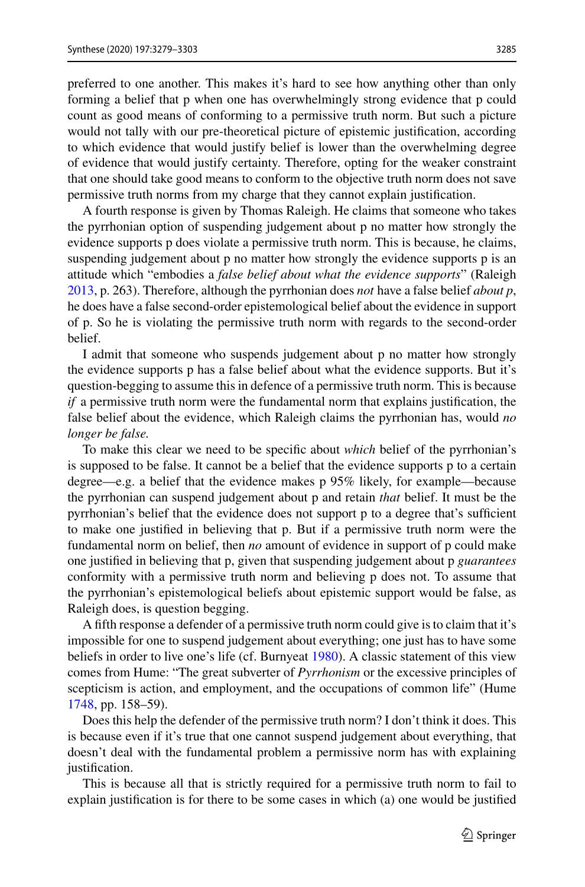preferred to one another. This makes it's hard to see how anything other than only forming a belief that p when one has overwhelmingly strong evidence that p could count as good means of conforming to a permissive truth norm. But such a picture would not tally with our pre-theoretical picture of epistemic justification, according to which evidence that would justify belief is lower than the overwhelming degree of evidence that would justify certainty. Therefore, opting for the weaker constraint that one should take good means to conform to the objective truth norm does not save permissive truth norms from my charge that they cannot explain justification.

A fourth response is given by Thomas Raleigh. He claims that someone who takes the pyrrhonian option of suspending judgement about p no matter how strongly the evidence supports p does violate a permissive truth norm. This is because, he claims, suspending judgement about p no matter how strongly the evidence supports p is an attitude which "embodies a *false belief about what the evidence supports*" (Raleigh [2013,](#page-24-9) p. 263). Therefore, although the pyrrhonian does *not* have a false belief *about p*, he does have a false second-order epistemological belief about the evidence in support of p. So he is violating the permissive truth norm with regards to the second-order belief.

I admit that someone who suspends judgement about p no matter how strongly the evidence supports p has a false belief about what the evidence supports. But it's question-begging to assume this in defence of a permissive truth norm. This is because *if* a permissive truth norm were the fundamental norm that explains justification, the false belief about the evidence, which Raleigh claims the pyrrhonian has, would *no longer be false.*

To make this clear we need to be specific about *which* belief of the pyrrhonian's is supposed to be false. It cannot be a belief that the evidence supports p to a certain degree—e.g. a belief that the evidence makes p 95% likely, for example—because the pyrrhonian can suspend judgement about p and retain *that* belief. It must be the pyrrhonian's belief that the evidence does not support p to a degree that's sufficient to make one justified in believing that p. But if a permissive truth norm were the fundamental norm on belief, then *no* amount of evidence in support of p could make one justified in believing that p, given that suspending judgement about p *guarantees* conformity with a permissive truth norm and believing p does not. To assume that the pyrrhonian's epistemological beliefs about epistemic support would be false, as Raleigh does, is question begging.

A fifth response a defender of a permissive truth norm could give is to claim that it's impossible for one to suspend judgement about everything; one just has to have some beliefs in order to live one's life (cf. Burnyeat [1980\)](#page-24-21). A classic statement of this view comes from Hume: "The great subverter of *Pyrrhonism* or the excessive principles of scepticism is action, and employment, and the occupations of common life" (Hume [1748,](#page-24-22) pp. 158–59).

Does this help the defender of the permissive truth norm? I don't think it does. This is because even if it's true that one cannot suspend judgement about everything, that doesn't deal with the fundamental problem a permissive norm has with explaining justification.

This is because all that is strictly required for a permissive truth norm to fail to explain justification is for there to be some cases in which (a) one would be justified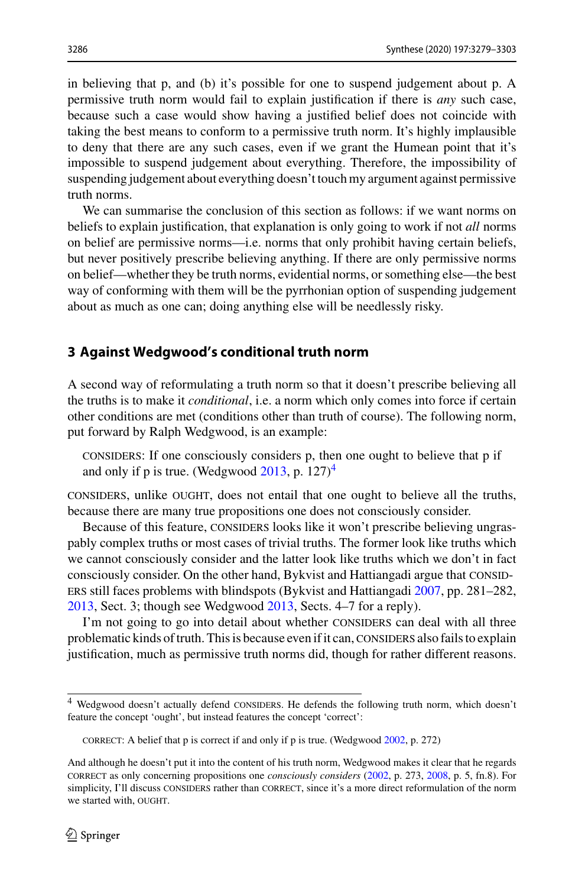in believing that p, and (b) it's possible for one to suspend judgement about p. A permissive truth norm would fail to explain justification if there is *any* such case, because such a case would show having a justified belief does not coincide with taking the best means to conform to a permissive truth norm. It's highly implausible to deny that there are any such cases, even if we grant the Humean point that it's impossible to suspend judgement about everything. Therefore, the impossibility of suspending judgement about everything doesn't touch my argument against permissive truth norms.

We can summarise the conclusion of this section as follows: if we want norms on beliefs to explain justification, that explanation is only going to work if not *all* norms on belief are permissive norms—i.e. norms that only prohibit having certain beliefs, but never positively prescribe believing anything. If there are only permissive norms on belief—whether they be truth norms, evidential norms, or something else—the best way of conforming with them will be the pyrrhonian option of suspending judgement about as much as one can; doing anything else will be needlessly risky.

### <span id="page-7-0"></span>**3 Against Wedgwood's conditional truth norm**

A second way of reformulating a truth norm so that it doesn't prescribe believing all the truths is to make it *conditional*, i.e. a norm which only comes into force if certain other conditions are met (conditions other than truth of course). The following norm, put forward by Ralph Wedgwood, is an example:

considers: If one consciously considers p, then one ought to believe that p if and only if p is true. (Wedgwood  $2013$ , p.  $127)^4$  $127)^4$ 

considers, unlike ought, does not entail that one ought to believe all the truths, because there are many true propositions one does not consciously consider.

Because of this feature, CONSIDERS looks like it won't prescribe believing ungraspably complex truths or most cases of trivial truths. The former look like truths which we cannot consciously consider and the latter look like truths which we don't in fact consciously consider. On the other hand, Bykvist and Hattiangadi argue that CONSIDers still faces problems with blindspots (Bykvist and Hattiangadi [2007,](#page-24-1) pp. 281–282, [2013,](#page-24-23) Sect. 3; though see Wedgwood [2013,](#page-24-8) Sects. 4–7 for a reply).

I'm not going to go into detail about whether CONSIDERS can deal with all three problematic kinds of truth. This is because even if it can, CONSIDERS also fails to explain justification, much as permissive truth norms did, though for rather different reasons.

<span id="page-7-1"></span><sup>&</sup>lt;sup>4</sup> Wedgwood doesn't actually defend CONSIDERS. He defends the following truth norm, which doesn't feature the concept 'ought', but instead features the concept 'correct':

correct: A belief that p is correct if and only if p is true. (Wedgwood [2002,](#page-24-11) p. 272)

And although he doesn't put it into the content of his truth norm, Wedgwood makes it clear that he regards correct as only concerning propositions one *consciously considers* [\(2002,](#page-24-11) p. 273, [2008,](#page-24-24) p. 5, fn.8). For simplicity, I'll discuss CONSIDERS rather than CORRECT, since it's a more direct reformulation of the norm we started with, OUGHT.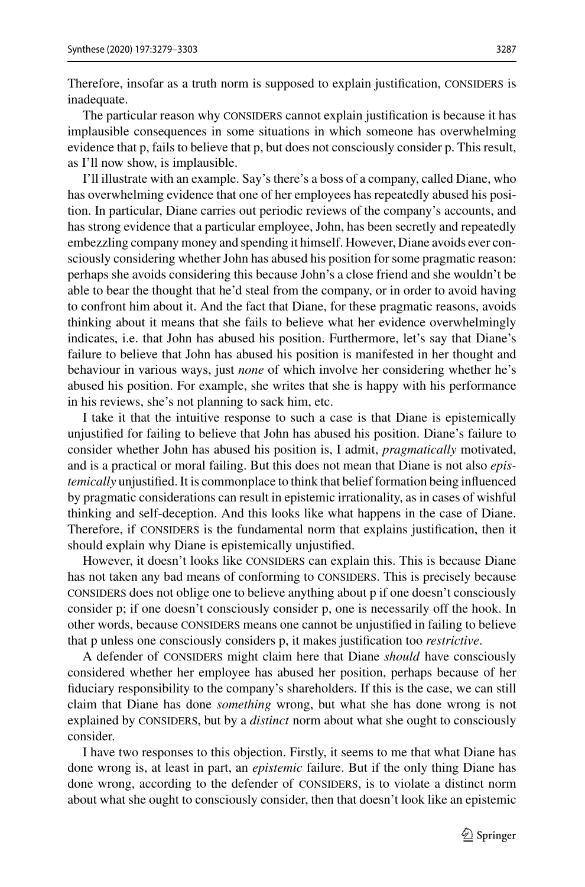Therefore, insofar as a truth norm is supposed to explain justification, CONSIDERS is inadequate.

The particular reason why CONSIDERS cannot explain justification is because it has implausible consequences in some situations in which someone has overwhelming evidence that p, fails to believe that p, but does not consciously consider p. This result, as I'll now show, is implausible.

I'll illustrate with an example. Say's there's a boss of a company, called Diane, who has overwhelming evidence that one of her employees has repeatedly abused his position. In particular, Diane carries out periodic reviews of the company's accounts, and has strong evidence that a particular employee, John, has been secretly and repeatedly embezzling company money and spending it himself. However, Diane avoids ever consciously considering whether John has abused his position for some pragmatic reason: perhaps she avoids considering this because John's a close friend and she wouldn't be able to bear the thought that he'd steal from the company, or in order to avoid having to confront him about it. And the fact that Diane, for these pragmatic reasons, avoids thinking about it means that she fails to believe what her evidence overwhelmingly indicates, i.e. that John has abused his position. Furthermore, let's say that Diane's failure to believe that John has abused his position is manifested in her thought and behaviour in various ways, just *none* of which involve her considering whether he's abused his position. For example, she writes that she is happy with his performance in his reviews, she's not planning to sack him, etc.

I take it that the intuitive response to such a case is that Diane is epistemically unjustified for failing to believe that John has abused his position. Diane's failure to consider whether John has abused his position is, I admit, *pragmatically* motivated, and is a practical or moral failing. But this does not mean that Diane is not also *epistemically* unjustified. It is commonplace to think that belief formation being influenced by pragmatic considerations can result in epistemic irrationality, as in cases of wishful thinking and self-deception. And this looks like what happens in the case of Diane. Therefore, if CONSIDERS is the fundamental norm that explains justification, then it should explain why Diane is epistemically unjustified.

However, it doesn't looks like considers can explain this. This is because Diane has not taken any bad means of conforming to CONSIDERS. This is precisely because considers does not oblige one to believe anything about p if one doesn't consciously consider p; if one doesn't consciously consider p, one is necessarily off the hook. In other words, because considers means one cannot be unjustified in failing to believe that p unless one consciously considers p, it makes justification too *restrictive*.

A defender of considers might claim here that Diane *should* have consciously considered whether her employee has abused her position, perhaps because of her fiduciary responsibility to the company's shareholders. If this is the case, we can still claim that Diane has done *something* wrong, but what she has done wrong is not explained by CONSIDERS, but by a *distinct* norm about what she ought to consciously consider.

I have two responses to this objection. Firstly, it seems to me that what Diane has done wrong is, at least in part, an *epistemic* failure. But if the only thing Diane has done wrong, according to the defender of considers, is to violate a distinct norm about what she ought to consciously consider, then that doesn't look like an epistemic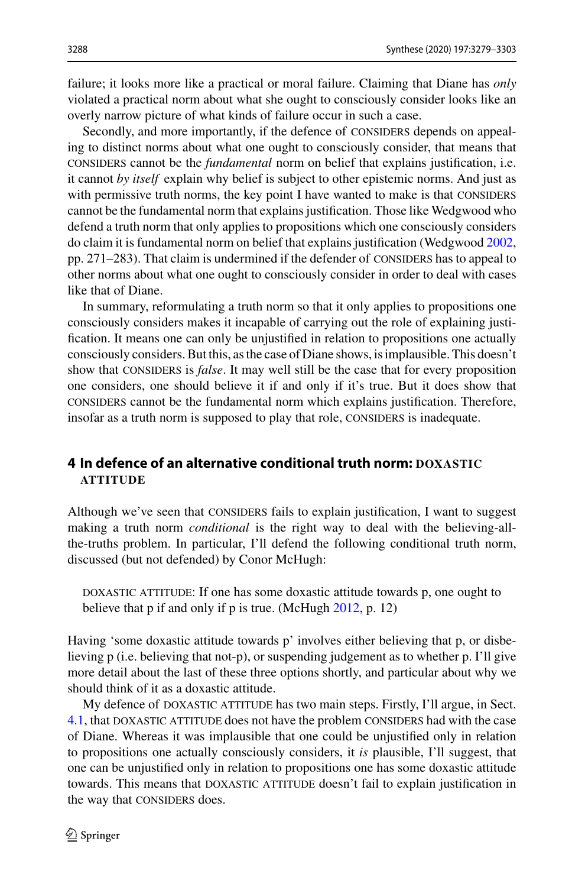failure; it looks more like a practical or moral failure. Claiming that Diane has *only* violated a practical norm about what she ought to consciously consider looks like an overly narrow picture of what kinds of failure occur in such a case.

Secondly, and more importantly, if the defence of CONSIDERS depends on appealing to distinct norms about what one ought to consciously consider, that means that considers cannot be the *fundamental* norm on belief that explains justification, i.e. it cannot *by itself* explain why belief is subject to other epistemic norms. And just as with permissive truth norms, the key point I have wanted to make is that CONSIDERS cannot be the fundamental norm that explains justification. Those like Wedgwood who defend a truth norm that only applies to propositions which one consciously considers do claim it is fundamental norm on belief that explains justification (Wedgwood [2002,](#page-24-11) pp. 271–283). That claim is undermined if the defender of considers has to appeal to other norms about what one ought to consciously consider in order to deal with cases like that of Diane.

In summary, reformulating a truth norm so that it only applies to propositions one consciously considers makes it incapable of carrying out the role of explaining justification. It means one can only be unjustified in relation to propositions one actually consciously considers. But this, as the case of Diane shows, is implausible. This doesn't show that CONSIDERS is *false*. It may well still be the case that for every proposition one considers, one should believe it if and only if it's true. But it does show that considers cannot be the fundamental norm which explains justification. Therefore, insofar as a truth norm is supposed to play that role, CONSIDERS is inadequate.

## <span id="page-9-0"></span>**4 In defence of an alternative conditional truth norm: DOXASTIC ATTITUDE**

Although we've seen that CONSIDERS fails to explain justification, I want to suggest making a truth norm *conditional* is the right way to deal with the believing-allthe-truths problem. In particular, I'll defend the following conditional truth norm, discussed (but not defended) by Conor McHugh:

doxastic attitude: If one has some doxastic attitude towards p, one ought to believe that p if and only if p is true. (McHugh [2012,](#page-24-6) p. 12)

Having 'some doxastic attitude towards p' involves either believing that p, or disbelieving p (i.e. believing that not-p), or suspending judgement as to whether p. I'll give more detail about the last of these three options shortly, and particular about why we should think of it as a doxastic attitude.

My defence of DOXASTIC ATTITUDE has two main steps. Firstly, I'll argue, in Sect. [4.1,](#page-10-0) that DOXASTIC ATTITUDE does not have the problem CONSIDERS had with the case of Diane. Whereas it was implausible that one could be unjustified only in relation to propositions one actually consciously considers, it *is* plausible, I'll suggest, that one can be unjustified only in relation to propositions one has some doxastic attitude towards. This means that DOXASTIC ATTITUDE doesn't fail to explain justification in the way that CONSIDERS does.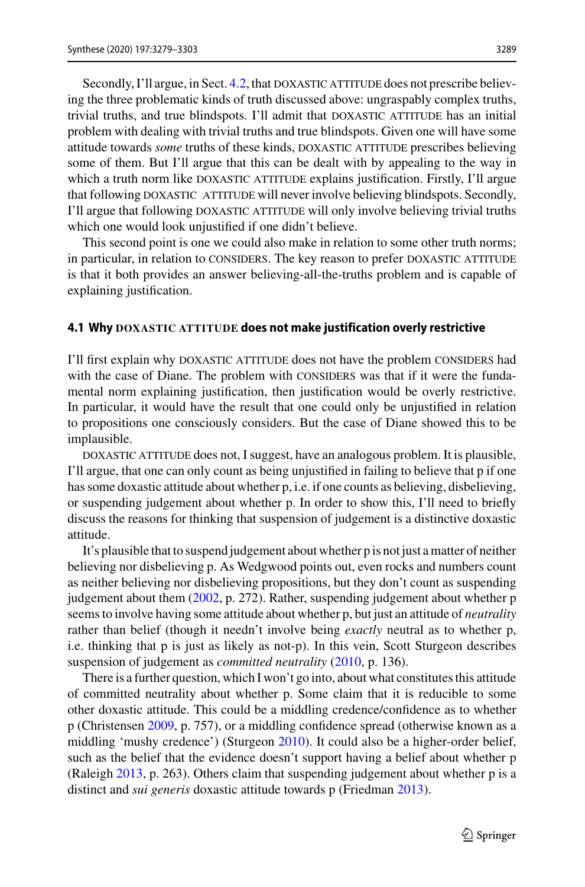Secondly, I'll argue, in Sect. [4.2,](#page-14-0) that DOXASTIC ATTITUDE does not prescribe believing the three problematic kinds of truth discussed above: ungraspably complex truths, trivial truths, and true blindspots. I'll admit that doxastic attitude has an initial problem with dealing with trivial truths and true blindspots. Given one will have some attitude towards *some* truths of these kinds, DOXASTIC ATTITUDE prescribes believing some of them. But I'll argue that this can be dealt with by appealing to the way in which a truth norm like DOXASTIC ATTITUDE explains justification. Firstly, I'll argue that following DOXASTIC ATTITUDE will never involve believing blindspots. Secondly, I'll argue that following DOXASTIC ATTITUDE will only involve believing trivial truths which one would look unjustified if one didn't believe.

This second point is one we could also make in relation to some other truth norms; in particular, in relation to CONSIDERS. The key reason to prefer DOXASTIC ATTITUDE is that it both provides an answer believing-all-the-truths problem and is capable of explaining justification.

#### <span id="page-10-0"></span>**4.1 Why DOXASTIC ATTITUDE does not make justification overly restrictive**

I'll first explain why DOXASTIC ATTITUDE does not have the problem CONSIDERS had with the case of Diane. The problem with CONSIDERS was that if it were the fundamental norm explaining justification, then justification would be overly restrictive. In particular, it would have the result that one could only be unjustified in relation to propositions one consciously considers. But the case of Diane showed this to be implausible.

doxastic attitude does not, I suggest, have an analogous problem. It is plausible, I'll argue, that one can only count as being unjustified in failing to believe that p if one has some doxastic attitude about whether p, i.e. if one counts as believing, disbelieving, or suspending judgement about whether p. In order to show this, I'll need to briefly discuss the reasons for thinking that suspension of judgement is a distinctive doxastic attitude.

It's plausible that to suspend judgement about whether p is not just a matter of neither believing nor disbelieving p. As Wedgwood points out, even rocks and numbers count as neither believing nor disbelieving propositions, but they don't count as suspending judgement about them [\(2002,](#page-24-11) p. 272). Rather, suspending judgement about whether p seems to involve having some attitude about whether p, but just an attitude of *neutrality* rather than belief (though it needn't involve being *exactly* neutral as to whether p, i.e. thinking that p is just as likely as not-p). In this vein, Scott Sturgeon describes suspension of judgement as *committed neutrality* [\(2010,](#page-24-25) p. 136).

There is a further question, which I won't go into, about what constitutes this attitude of committed neutrality about whether p. Some claim that it is reducible to some other doxastic attitude. This could be a middling credence/confidence as to whether p (Christensen [2009,](#page-24-26) p. 757), or a middling confidence spread (otherwise known as a middling 'mushy credence') (Sturgeon [2010\)](#page-24-25). It could also be a higher-order belief, such as the belief that the evidence doesn't support having a belief about whether p (Raleigh [2013,](#page-24-9) p. 263). Others claim that suspending judgement about whether p is a distinct and *sui generis* doxastic attitude towards p (Friedman [2013\)](#page-24-27).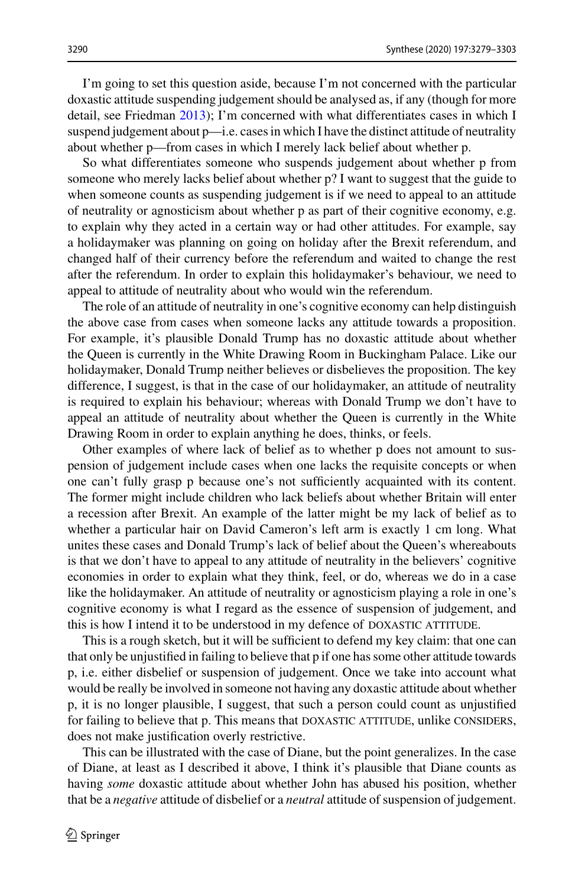I'm going to set this question aside, because I'm not concerned with the particular doxastic attitude suspending judgement should be analysed as, if any (though for more detail, see Friedman [2013\)](#page-24-27); I'm concerned with what differentiates cases in which I suspend judgement about p—i.e. cases in which I have the distinct attitude of neutrality about whether p—from cases in which I merely lack belief about whether p.

So what differentiates someone who suspends judgement about whether p from someone who merely lacks belief about whether p? I want to suggest that the guide to when someone counts as suspending judgement is if we need to appeal to an attitude of neutrality or agnosticism about whether p as part of their cognitive economy, e.g. to explain why they acted in a certain way or had other attitudes. For example, say a holidaymaker was planning on going on holiday after the Brexit referendum, and changed half of their currency before the referendum and waited to change the rest after the referendum. In order to explain this holidaymaker's behaviour, we need to appeal to attitude of neutrality about who would win the referendum.

The role of an attitude of neutrality in one's cognitive economy can help distinguish the above case from cases when someone lacks any attitude towards a proposition. For example, it's plausible Donald Trump has no doxastic attitude about whether the Queen is currently in the White Drawing Room in Buckingham Palace. Like our holidaymaker, Donald Trump neither believes or disbelieves the proposition. The key difference, I suggest, is that in the case of our holidaymaker, an attitude of neutrality is required to explain his behaviour; whereas with Donald Trump we don't have to appeal an attitude of neutrality about whether the Queen is currently in the White Drawing Room in order to explain anything he does, thinks, or feels.

Other examples of where lack of belief as to whether p does not amount to suspension of judgement include cases when one lacks the requisite concepts or when one can't fully grasp p because one's not sufficiently acquainted with its content. The former might include children who lack beliefs about whether Britain will enter a recession after Brexit. An example of the latter might be my lack of belief as to whether a particular hair on David Cameron's left arm is exactly 1 cm long. What unites these cases and Donald Trump's lack of belief about the Queen's whereabouts is that we don't have to appeal to any attitude of neutrality in the believers' cognitive economies in order to explain what they think, feel, or do, whereas we do in a case like the holidaymaker. An attitude of neutrality or agnosticism playing a role in one's cognitive economy is what I regard as the essence of suspension of judgement, and this is how I intend it to be understood in my defence of DOXASTIC ATTITUDE.

This is a rough sketch, but it will be sufficient to defend my key claim: that one can that only be unjustified in failing to believe that p if one has some other attitude towards p, i.e. either disbelief or suspension of judgement. Once we take into account what would be really be involved in someone not having any doxastic attitude about whether p, it is no longer plausible, I suggest, that such a person could count as unjustified for failing to believe that p. This means that DOXASTIC ATTITUDE, unlike CONSIDERS, does not make justification overly restrictive.

This can be illustrated with the case of Diane, but the point generalizes. In the case of Diane, at least as I described it above, I think it's plausible that Diane counts as having *some* doxastic attitude about whether John has abused his position, whether that be a *negative* attitude of disbelief or a *neutral* attitude of suspension of judgement.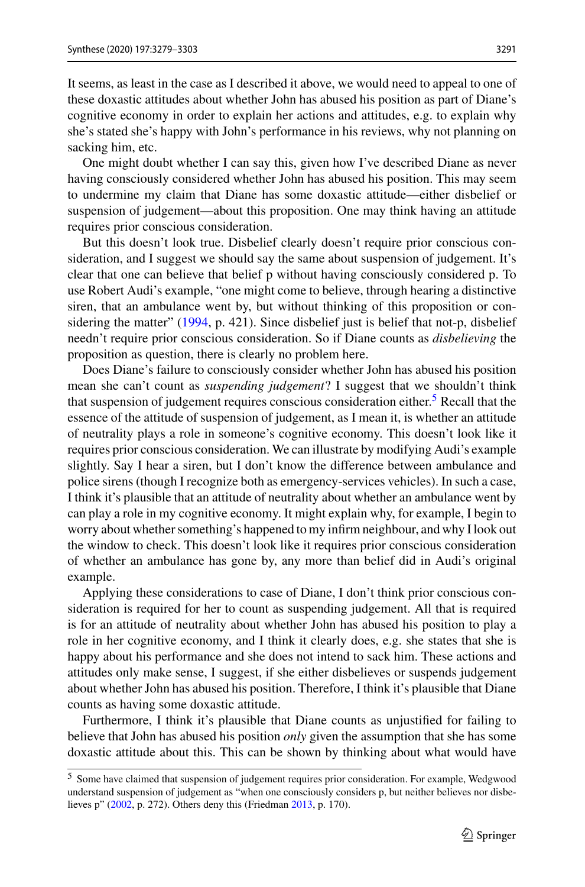It seems, as least in the case as I described it above, we would need to appeal to one of these doxastic attitudes about whether John has abused his position as part of Diane's cognitive economy in order to explain her actions and attitudes, e.g. to explain why she's stated she's happy with John's performance in his reviews, why not planning on sacking him, etc.

One might doubt whether I can say this, given how I've described Diane as never having consciously considered whether John has abused his position. This may seem to undermine my claim that Diane has some doxastic attitude—either disbelief or suspension of judgement—about this proposition. One may think having an attitude requires prior conscious consideration.

But this doesn't look true. Disbelief clearly doesn't require prior conscious consideration, and I suggest we should say the same about suspension of judgement. It's clear that one can believe that belief p without having consciously considered p. To use Robert Audi's example, "one might come to believe, through hearing a distinctive siren, that an ambulance went by, but without thinking of this proposition or considering the matter" [\(1994,](#page-23-2) p. 421). Since disbelief just is belief that not-p, disbelief needn't require prior conscious consideration. So if Diane counts as *disbelieving* the proposition as question, there is clearly no problem here.

Does Diane's failure to consciously consider whether John has abused his position mean she can't count as *suspending judgement*? I suggest that we shouldn't think that suspension of judgement requires conscious consideration either.<sup>[5](#page-12-0)</sup> Recall that the essence of the attitude of suspension of judgement, as I mean it, is whether an attitude of neutrality plays a role in someone's cognitive economy. This doesn't look like it requires prior conscious consideration. We can illustrate by modifying Audi's example slightly. Say I hear a siren, but I don't know the difference between ambulance and police sirens (though I recognize both as emergency-services vehicles). In such a case, I think it's plausible that an attitude of neutrality about whether an ambulance went by can play a role in my cognitive economy. It might explain why, for example, I begin to worry about whether something's happened to my infirm neighbour, and why I look out the window to check. This doesn't look like it requires prior conscious consideration of whether an ambulance has gone by, any more than belief did in Audi's original example.

Applying these considerations to case of Diane, I don't think prior conscious consideration is required for her to count as suspending judgement. All that is required is for an attitude of neutrality about whether John has abused his position to play a role in her cognitive economy, and I think it clearly does, e.g. she states that she is happy about his performance and she does not intend to sack him. These actions and attitudes only make sense, I suggest, if she either disbelieves or suspends judgement about whether John has abused his position. Therefore, I think it's plausible that Diane counts as having some doxastic attitude.

Furthermore, I think it's plausible that Diane counts as unjustified for failing to believe that John has abused his position *only* given the assumption that she has some doxastic attitude about this. This can be shown by thinking about what would have

<span id="page-12-0"></span><sup>5</sup> Some have claimed that suspension of judgement requires prior consideration. For example, Wedgwood understand suspension of judgement as "when one consciously considers p, but neither believes nor disbelieves p" [\(2002,](#page-24-11) p. 272). Others deny this (Friedman [2013,](#page-24-27) p. 170).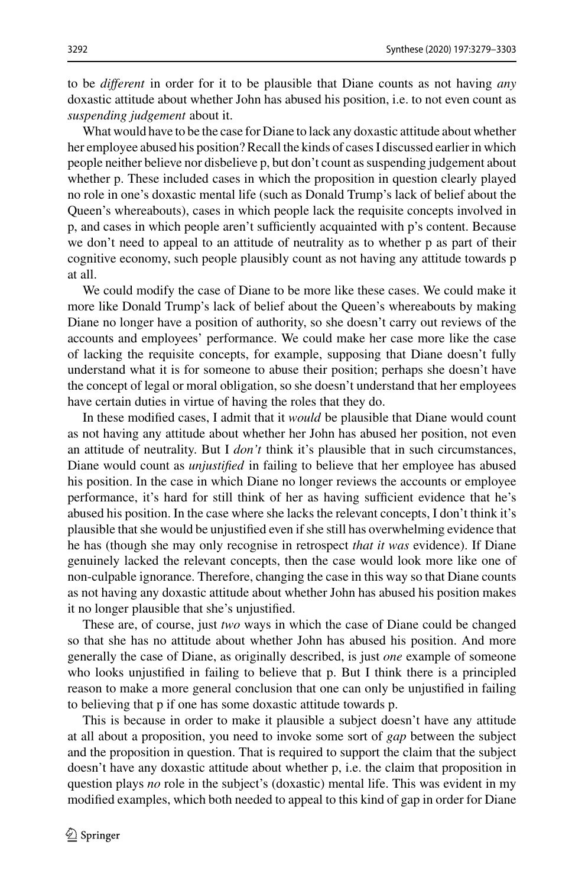to be *different* in order for it to be plausible that Diane counts as not having *any* doxastic attitude about whether John has abused his position, i.e. to not even count as *suspending judgement* about it.

What would have to be the case for Diane to lack any doxastic attitude about whether her employee abused his position? Recall the kinds of cases I discussed earlier in which people neither believe nor disbelieve p, but don't count as suspending judgement about whether p. These included cases in which the proposition in question clearly played no role in one's doxastic mental life (such as Donald Trump's lack of belief about the Queen's whereabouts), cases in which people lack the requisite concepts involved in p, and cases in which people aren't sufficiently acquainted with p's content. Because we don't need to appeal to an attitude of neutrality as to whether p as part of their cognitive economy, such people plausibly count as not having any attitude towards p at all.

We could modify the case of Diane to be more like these cases. We could make it more like Donald Trump's lack of belief about the Queen's whereabouts by making Diane no longer have a position of authority, so she doesn't carry out reviews of the accounts and employees' performance. We could make her case more like the case of lacking the requisite concepts, for example, supposing that Diane doesn't fully understand what it is for someone to abuse their position; perhaps she doesn't have the concept of legal or moral obligation, so she doesn't understand that her employees have certain duties in virtue of having the roles that they do.

In these modified cases, I admit that it *would* be plausible that Diane would count as not having any attitude about whether her John has abused her position, not even an attitude of neutrality. But I *don't* think it's plausible that in such circumstances, Diane would count as *unjustified* in failing to believe that her employee has abused his position. In the case in which Diane no longer reviews the accounts or employee performance, it's hard for still think of her as having sufficient evidence that he's abused his position. In the case where she lacks the relevant concepts, I don't think it's plausible that she would be unjustified even if she still has overwhelming evidence that he has (though she may only recognise in retrospect *that it was* evidence). If Diane genuinely lacked the relevant concepts, then the case would look more like one of non-culpable ignorance. Therefore, changing the case in this way so that Diane counts as not having any doxastic attitude about whether John has abused his position makes it no longer plausible that she's unjustified.

These are, of course, just *two* ways in which the case of Diane could be changed so that she has no attitude about whether John has abused his position. And more generally the case of Diane, as originally described, is just *one* example of someone who looks unjustified in failing to believe that p. But I think there is a principled reason to make a more general conclusion that one can only be unjustified in failing to believing that p if one has some doxastic attitude towards p.

This is because in order to make it plausible a subject doesn't have any attitude at all about a proposition, you need to invoke some sort of *gap* between the subject and the proposition in question. That is required to support the claim that the subject doesn't have any doxastic attitude about whether p, i.e. the claim that proposition in question plays *no* role in the subject's (doxastic) mental life. This was evident in my modified examples, which both needed to appeal to this kind of gap in order for Diane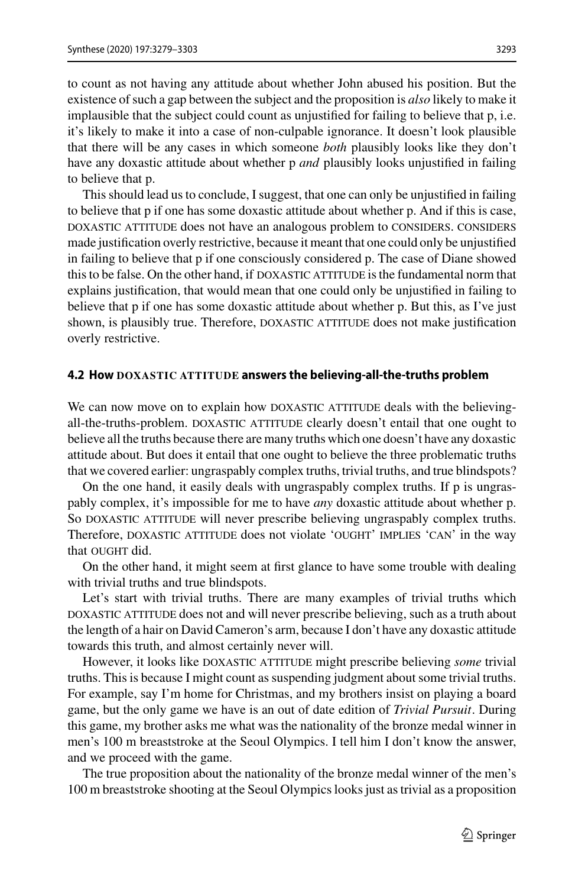to count as not having any attitude about whether John abused his position. But the existence of such a gap between the subject and the proposition is *also* likely to make it implausible that the subject could count as unjustified for failing to believe that p, i.e. it's likely to make it into a case of non-culpable ignorance. It doesn't look plausible that there will be any cases in which someone *both* plausibly looks like they don't have any doxastic attitude about whether p *and* plausibly looks unjustified in failing to believe that p.

This should lead us to conclude, I suggest, that one can only be unjustified in failing to believe that p if one has some doxastic attitude about whether p. And if this is case, doxastic attitude does not have an analogous problem to considers. considers made justification overly restrictive, because it meant that one could only be unjustified in failing to believe that p if one consciously considered p. The case of Diane showed this to be false. On the other hand, if DOXASTIC ATTITUDE is the fundamental norm that explains justification, that would mean that one could only be unjustified in failing to believe that p if one has some doxastic attitude about whether p. But this, as I've just shown, is plausibly true. Therefore, DOXASTIC ATTITUDE does not make justification overly restrictive.

#### <span id="page-14-0"></span>**4.2 How DOXASTIC ATTITUDE answers the believing-all-the-truths problem**

We can now move on to explain how DOXASTIC ATTITUDE deals with the believingall-the-truths-problem. DOXASTIC ATTITUDE clearly doesn't entail that one ought to believe all the truths because there are many truths which one doesn't have any doxastic attitude about. But does it entail that one ought to believe the three problematic truths that we covered earlier: ungraspably complex truths, trivial truths, and true blindspots?

On the one hand, it easily deals with ungraspably complex truths. If p is ungraspably complex, it's impossible for me to have *any* doxastic attitude about whether p. So doxastic attitude will never prescribe believing ungraspably complex truths. Therefore, DOXASTIC ATTITUDE does not violate 'OUGHT' IMPLIES 'CAN' in the way that OUGHT did.

On the other hand, it might seem at first glance to have some trouble with dealing with trivial truths and true blindspots.

Let's start with trivial truths. There are many examples of trivial truths which doxastic attitude does not and will never prescribe believing, such as a truth about the length of a hair on David Cameron's arm, because I don't have any doxastic attitude towards this truth, and almost certainly never will.

However, it looks like doxastic attitude might prescribe believing *some* trivial truths. This is because I might count as suspending judgment about some trivial truths. For example, say I'm home for Christmas, and my brothers insist on playing a board game, but the only game we have is an out of date edition of *Trivial Pursuit*. During this game, my brother asks me what was the nationality of the bronze medal winner in men's 100 m breaststroke at the Seoul Olympics. I tell him I don't know the answer, and we proceed with the game.

The true proposition about the nationality of the bronze medal winner of the men's 100 m breaststroke shooting at the Seoul Olympics looks just as trivial as a proposition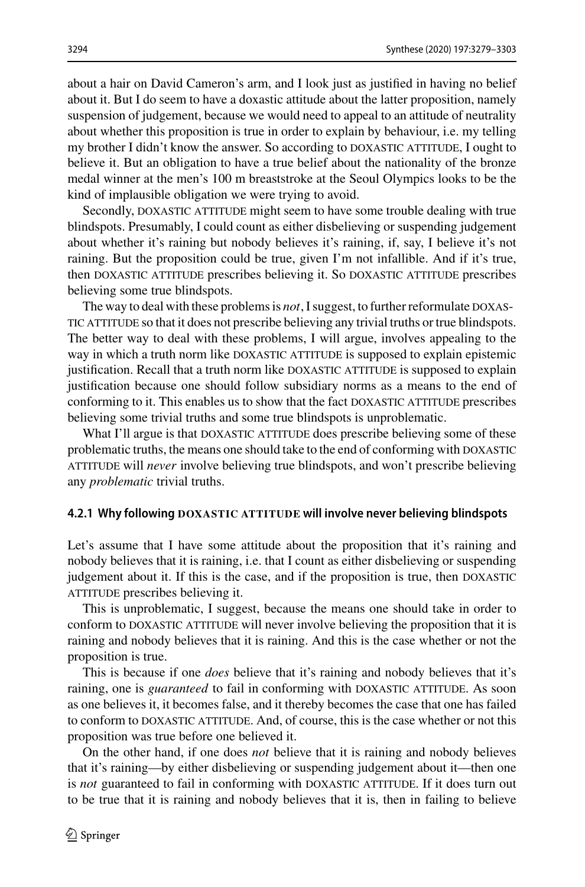about a hair on David Cameron's arm, and I look just as justified in having no belief about it. But I do seem to have a doxastic attitude about the latter proposition, namely suspension of judgement, because we would need to appeal to an attitude of neutrality about whether this proposition is true in order to explain by behaviour, i.e. my telling my brother I didn't know the answer. So according to DOXASTIC ATTITUDE, I ought to believe it. But an obligation to have a true belief about the nationality of the bronze medal winner at the men's 100 m breaststroke at the Seoul Olympics looks to be the kind of implausible obligation we were trying to avoid.

Secondly, DOXASTIC ATTITUDE might seem to have some trouble dealing with true blindspots. Presumably, I could count as either disbelieving or suspending judgement about whether it's raining but nobody believes it's raining, if, say, I believe it's not raining. But the proposition could be true, given I'm not infallible. And if it's true, then doxastic attitude prescribes believing it. So doxastic attitude prescribes believing some true blindspots.

The way to deal with these problems is *not*, I suggest, to further reformulate DOXAStic attitude so that it does not prescribe believing any trivial truths or true blindspots. The better way to deal with these problems, I will argue, involves appealing to the way in which a truth norm like DOXASTIC ATTITUDE is supposed to explain epistemic justification. Recall that a truth norm like DOXASTIC ATTITUDE is supposed to explain justification because one should follow subsidiary norms as a means to the end of conforming to it. This enables us to show that the fact DOXASTIC ATTITUDE prescribes believing some trivial truths and some true blindspots is unproblematic.

What I'll argue is that DOXASTIC ATTITUDE does prescribe believing some of these problematic truths, the means one should take to the end of conforming with DOXASTIC attitude will *never* involve believing true blindspots, and won't prescribe believing any *problematic* trivial truths.

#### **4.2.1 Why following DOXASTIC ATTITUDE will involve never believing blindspots**

Let's assume that I have some attitude about the proposition that it's raining and nobody believes that it is raining, i.e. that I count as either disbelieving or suspending judgement about it. If this is the case, and if the proposition is true, then DOXASTIC ATTITUDE prescribes believing it.

This is unproblematic, I suggest, because the means one should take in order to conform to DOXASTIC ATTITUDE will never involve believing the proposition that it is raining and nobody believes that it is raining. And this is the case whether or not the proposition is true.

This is because if one *does* believe that it's raining and nobody believes that it's raining, one is *guaranteed* to fail in conforming with DOXASTIC ATTITUDE. As soon as one believes it, it becomes false, and it thereby becomes the case that one has failed to conform to DOXASTIC ATTITUDE. And, of course, this is the case whether or not this proposition was true before one believed it.

On the other hand, if one does *not* believe that it is raining and nobody believes that it's raining—by either disbelieving or suspending judgement about it—then one is *not* guaranteed to fail in conforming with DOXASTIC ATTITUDE. If it does turn out to be true that it is raining and nobody believes that it is, then in failing to believe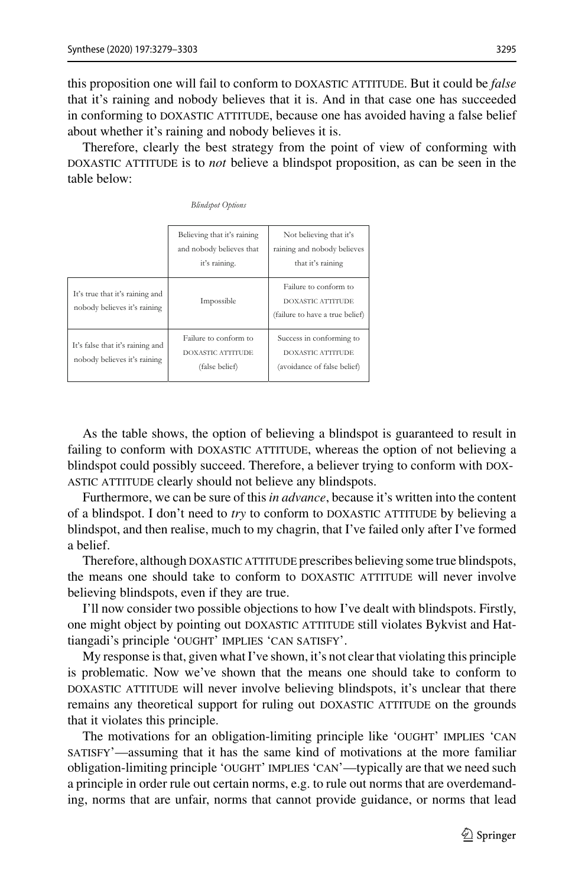this proposition one will fail to conform to DOXASTIC ATTITUDE. But it could be *false* that it's raining and nobody believes that it is. And in that case one has succeeded in conforming to DOXASTIC ATTITUDE, because one has avoided having a false belief about whether it's raining and nobody believes it is.

Therefore, clearly the best strategy from the point of view of conforming with doxastic attitude is to *not* believe a blindspot proposition, as can be seen in the table below:

|                                                                  | Believing that it's raining<br>and nobody believes that<br>it's raining. | Not believing that it's<br>raining and nobody believes<br>that it's raining   |
|------------------------------------------------------------------|--------------------------------------------------------------------------|-------------------------------------------------------------------------------|
| It's true that it's raining and<br>nobody believes it's raining  | Impossible                                                               | Failure to conform to<br>DOXASTIC ATTITUDE<br>(failure to have a true belief) |
| It's false that it's raining and<br>nobody believes it's raining | Failure to conform to<br><b>DOXASTIC ATTITUDE</b><br>(false belief)      | Success in conforming to<br>DOXASTIC ATTITUDE<br>(avoidance of false belief)  |

*Blindspot Options*

As the table shows, the option of believing a blindspot is guaranteed to result in failing to conform with DOXASTIC ATTITUDE, whereas the option of not believing a blindspot could possibly succeed. Therefore, a believer trying to conform with DOXastic attitude clearly should not believe any blindspots.

Furthermore, we can be sure of this*in advance*, because it's written into the content of a blindspot. I don't need to *try* to conform to DOXASTIC ATTITUDE by believing a blindspot, and then realise, much to my chagrin, that I've failed only after I've formed a belief.

Therefore, although DOXASTIC ATTITUDE prescribes believing some true blindspots, the means one should take to conform to DOXASTIC ATTITUDE will never involve believing blindspots, even if they are true.

I'll now consider two possible objections to how I've dealt with blindspots. Firstly, one might object by pointing out DOXASTIC ATTITUDE still violates Bykvist and Hattiangadi's principle 'OUGHT' IMPLIES 'CAN SATISFY'.

My response is that, given what I've shown, it's not clear that violating this principle is problematic. Now we've shown that the means one should take to conform to doxastic attitude will never involve believing blindspots, it's unclear that there remains any theoretical support for ruling out DOXASTIC ATTITUDE on the grounds that it violates this principle.

The motivations for an obligation-limiting principle like 'OUGHT' IMPLIES 'CAN satisfy'—assuming that it has the same kind of motivations at the more familiar obligation-limiting principle 'OUGHT' IMPLIES 'CAN'—typically are that we need such a principle in order rule out certain norms, e.g. to rule out norms that are overdemanding, norms that are unfair, norms that cannot provide guidance, or norms that lead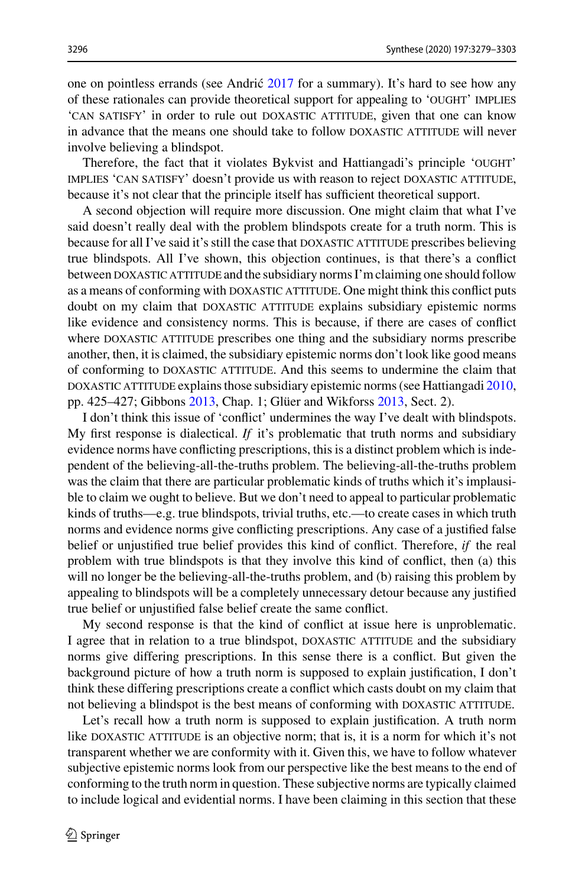one on pointless errands (see Andrić [2017](#page-23-3) for a summary). It's hard to see how any of these rationales can provide theoretical support for appealing to 'ought' implies 'can satisfy' in order to rule out doxastic attitude, given that one can know in advance that the means one should take to follow DOXASTIC ATTITUDE will never involve believing a blindspot.

Therefore, the fact that it violates Bykvist and Hattiangadi's principle 'ought' implies 'can satisfy' doesn't provide us with reason to reject doxastic attitude, because it's not clear that the principle itself has sufficient theoretical support.

A second objection will require more discussion. One might claim that what I've said doesn't really deal with the problem blindspots create for a truth norm. This is because for all I've said it's still the case that DOXASTIC ATTITUDE prescribes believing true blindspots. All I've shown, this objection continues, is that there's a conflict between DOXASTIC ATTITUDE and the subsidiary norms I'm claiming one should follow as a means of conforming with DOXASTIC ATTITUDE. One might think this conflict puts doubt on my claim that DOXASTIC ATTITUDE explains subsidiary epistemic norms like evidence and consistency norms. This is because, if there are cases of conflict where DOXASTIC ATTITUDE prescribes one thing and the subsidiary norms prescribe another, then, it is claimed, the subsidiary epistemic norms don't look like good means of conforming to DOXASTIC ATTITUDE. And this seems to undermine the claim that doxastic attitude explains those subsidiary epistemic norms (see Hattiangadi [2010,](#page-24-28) pp. 425–427; Gibbons [2013,](#page-24-29) Chap. 1; Glüer and Wikforss [2013,](#page-24-30) Sect. 2).

I don't think this issue of 'conflict' undermines the way I've dealt with blindspots. My first response is dialectical. *If* it's problematic that truth norms and subsidiary evidence norms have conflicting prescriptions, this is a distinct problem which is independent of the believing-all-the-truths problem. The believing-all-the-truths problem was the claim that there are particular problematic kinds of truths which it's implausible to claim we ought to believe. But we don't need to appeal to particular problematic kinds of truths—e.g. true blindspots, trivial truths, etc.—to create cases in which truth norms and evidence norms give conflicting prescriptions. Any case of a justified false belief or unjustified true belief provides this kind of conflict. Therefore, *if* the real problem with true blindspots is that they involve this kind of conflict, then (a) this will no longer be the believing-all-the-truths problem, and (b) raising this problem by appealing to blindspots will be a completely unnecessary detour because any justified true belief or unjustified false belief create the same conflict.

My second response is that the kind of conflict at issue here is unproblematic. I agree that in relation to a true blindspot, DOXASTIC ATTITUDE and the subsidiary norms give differing prescriptions. In this sense there is a conflict. But given the background picture of how a truth norm is supposed to explain justification, I don't think these differing prescriptions create a conflict which casts doubt on my claim that not believing a blindspot is the best means of conforming with DOXASTIC ATTITUDE.

Let's recall how a truth norm is supposed to explain justification. A truth norm like DOXASTIC ATTITUDE is an objective norm; that is, it is a norm for which it's not transparent whether we are conformity with it. Given this, we have to follow whatever subjective epistemic norms look from our perspective like the best means to the end of conforming to the truth norm in question. These subjective norms are typically claimed to include logical and evidential norms. I have been claiming in this section that these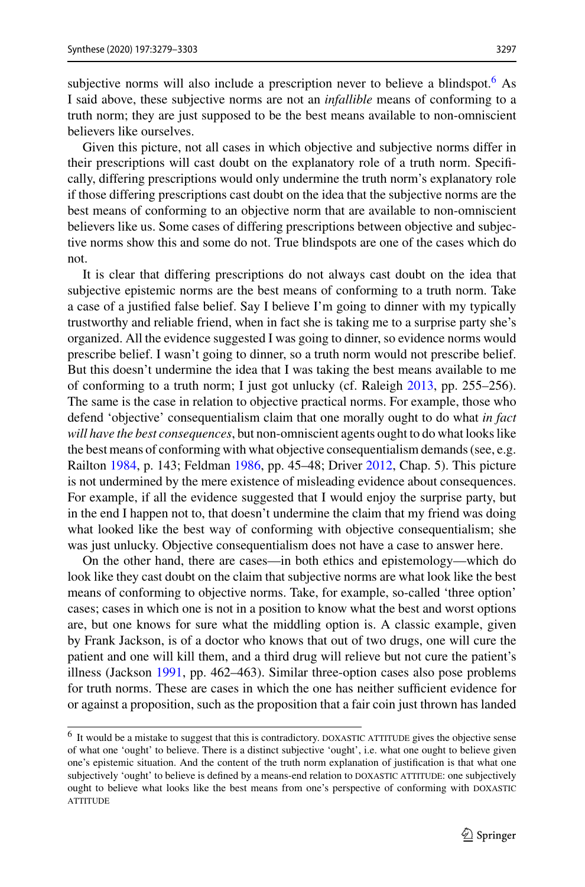subjective norms will also include a prescription never to believe a blindspot.<sup>[6](#page-18-0)</sup> As I said above, these subjective norms are not an *infallible* means of conforming to a truth norm; they are just supposed to be the best means available to non-omniscient believers like ourselves.

Given this picture, not all cases in which objective and subjective norms differ in their prescriptions will cast doubt on the explanatory role of a truth norm. Specifically, differing prescriptions would only undermine the truth norm's explanatory role if those differing prescriptions cast doubt on the idea that the subjective norms are the best means of conforming to an objective norm that are available to non-omniscient believers like us. Some cases of differing prescriptions between objective and subjective norms show this and some do not. True blindspots are one of the cases which do not.

It is clear that differing prescriptions do not always cast doubt on the idea that subjective epistemic norms are the best means of conforming to a truth norm. Take a case of a justified false belief. Say I believe I'm going to dinner with my typically trustworthy and reliable friend, when in fact she is taking me to a surprise party she's organized. All the evidence suggested I was going to dinner, so evidence norms would prescribe belief. I wasn't going to dinner, so a truth norm would not prescribe belief. But this doesn't undermine the idea that I was taking the best means available to me of conforming to a truth norm; I just got unlucky (cf. Raleigh [2013,](#page-24-9) pp. 255–256). The same is the case in relation to objective practical norms. For example, those who defend 'objective' consequentialism claim that one morally ought to do what *in fact will have the best consequences*, but non-omniscient agents ought to do what looks like the best means of conforming with what objective consequentialism demands (see, e.g. Railton [1984,](#page-24-31) p. 143; Feldman [1986,](#page-24-32) pp. 45–48; Driver [2012,](#page-24-33) Chap. 5). This picture is not undermined by the mere existence of misleading evidence about consequences. For example, if all the evidence suggested that I would enjoy the surprise party, but in the end I happen not to, that doesn't undermine the claim that my friend was doing what looked like the best way of conforming with objective consequentialism; she was just unlucky. Objective consequentialism does not have a case to answer here.

On the other hand, there are cases—in both ethics and epistemology—which do look like they cast doubt on the claim that subjective norms are what look like the best means of conforming to objective norms. Take, for example, so-called 'three option' cases; cases in which one is not in a position to know what the best and worst options are, but one knows for sure what the middling option is. A classic example, given by Frank Jackson, is of a doctor who knows that out of two drugs, one will cure the patient and one will kill them, and a third drug will relieve but not cure the patient's illness (Jackson [1991,](#page-24-34) pp. 462–463). Similar three-option cases also pose problems for truth norms. These are cases in which the one has neither sufficient evidence for or against a proposition, such as the proposition that a fair coin just thrown has landed

<span id="page-18-0"></span> $6$  It would be a mistake to suggest that this is contradictory. DOXASTIC ATTITUDE gives the objective sense of what one 'ought' to believe. There is a distinct subjective 'ought', i.e. what one ought to believe given one's epistemic situation. And the content of the truth norm explanation of justification is that what one subjectively 'ought' to believe is defined by a means-end relation to DOXASTIC ATTITUDE: one subjectively ought to believe what looks like the best means from one's perspective of conforming with DOXASTIC **ATTITUDE**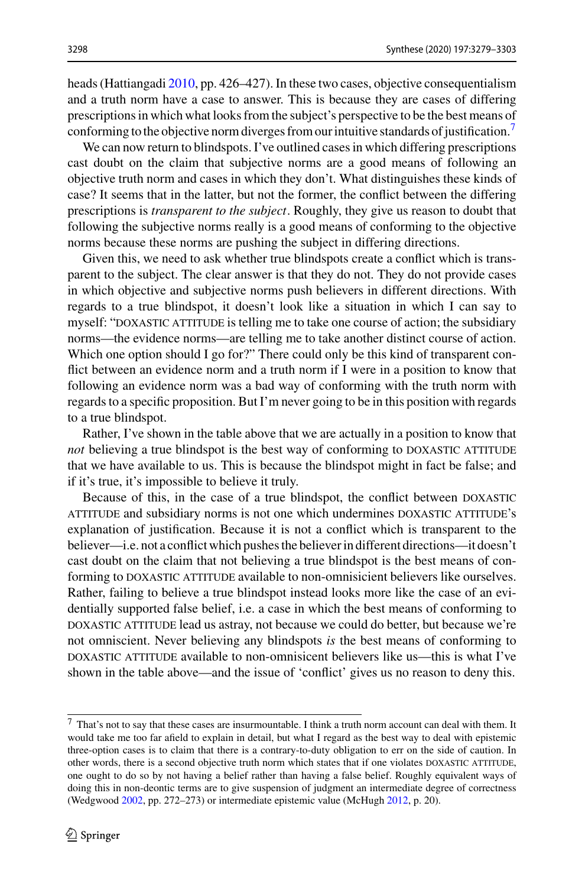heads (Hattiangadi [2010,](#page-24-28) pp. 426–427). In these two cases, objective consequentialism and a truth norm have a case to answer. This is because they are cases of differing prescriptions in which what looks from the subject's perspective to be the best means of conforming to the objective norm diverges from our intuitive standards of justification.<sup>[7](#page-19-0)</sup>

We can now return to blindspots. I've outlined cases in which differing prescriptions cast doubt on the claim that subjective norms are a good means of following an objective truth norm and cases in which they don't. What distinguishes these kinds of case? It seems that in the latter, but not the former, the conflict between the differing prescriptions is *transparent to the subject*. Roughly, they give us reason to doubt that following the subjective norms really is a good means of conforming to the objective norms because these norms are pushing the subject in differing directions.

Given this, we need to ask whether true blindspots create a conflict which is transparent to the subject. The clear answer is that they do not. They do not provide cases in which objective and subjective norms push believers in different directions. With regards to a true blindspot, it doesn't look like a situation in which I can say to myself: "DOXASTIC ATTITUDE is telling me to take one course of action; the subsidiary norms—the evidence norms—are telling me to take another distinct course of action. Which one option should I go for?" There could only be this kind of transparent conflict between an evidence norm and a truth norm if I were in a position to know that following an evidence norm was a bad way of conforming with the truth norm with regards to a specific proposition. But I'm never going to be in this position with regards to a true blindspot.

Rather, I've shown in the table above that we are actually in a position to know that *not* believing a true blindspot is the best way of conforming to DOXASTIC ATTITUDE that we have available to us. This is because the blindspot might in fact be false; and if it's true, it's impossible to believe it truly.

Because of this, in the case of a true blindspot, the conflict between doxastic attitude and subsidiary norms is not one which undermines doxastic attitude's explanation of justification. Because it is not a conflict which is transparent to the believer—i.e. not a conflict which pushes the believer in different directions—it doesn't cast doubt on the claim that not believing a true blindspot is the best means of conforming to DOXASTIC ATTITUDE available to non-omnisicient believers like ourselves. Rather, failing to believe a true blindspot instead looks more like the case of an evidentially supported false belief, i.e. a case in which the best means of conforming to doxastic attitude lead us astray, not because we could do better, but because we're not omniscient. Never believing any blindspots *is* the best means of conforming to doxastic attitude available to non-omnisicent believers like us—this is what I've shown in the table above—and the issue of 'conflict' gives us no reason to deny this.

<span id="page-19-0"></span><sup>7</sup> That's not to say that these cases are insurmountable. I think a truth norm account can deal with them. It would take me too far afield to explain in detail, but what I regard as the best way to deal with epistemic three-option cases is to claim that there is a contrary-to-duty obligation to err on the side of caution. In other words, there is a second objective truth norm which states that if one violates DOXASTIC ATTITUDE, one ought to do so by not having a belief rather than having a false belief. Roughly equivalent ways of doing this in non-deontic terms are to give suspension of judgment an intermediate degree of correctness (Wedgwood [2002,](#page-24-11) pp. 272–273) or intermediate epistemic value (McHugh [2012,](#page-24-6) p. 20).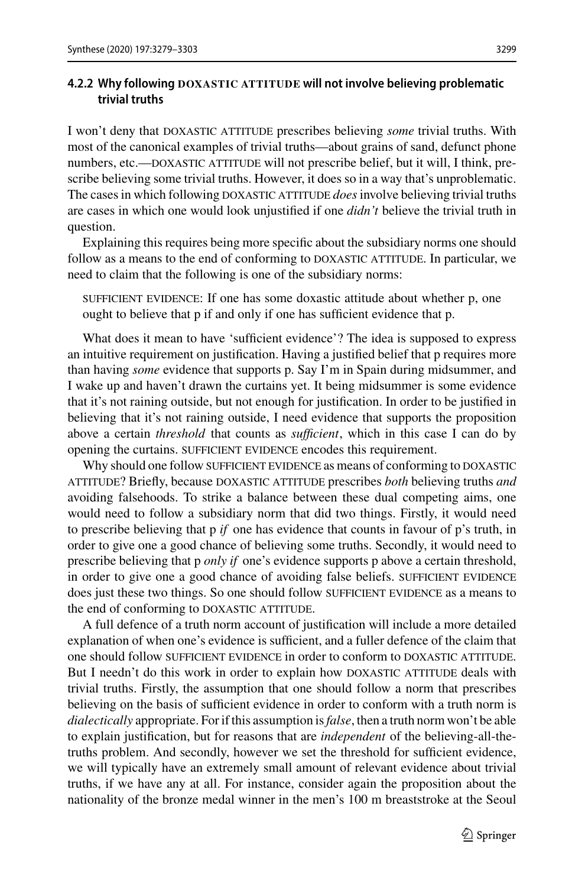## **4.2.2 Why following DOXASTIC ATTITUDE will not involve believing problematic trivial truths**

I won't deny that doxastic attitude prescribes believing *some* trivial truths. With most of the canonical examples of trivial truths—about grains of sand, defunct phone numbers, etc.—DOXASTIC ATTITUDE will not prescribe belief, but it will, I think, prescribe believing some trivial truths. However, it does so in a way that's unproblematic. The cases in which following DOXASTIC ATTITUDE *does* involve believing trivial truths are cases in which one would look unjustified if one *didn't* believe the trivial truth in question.

Explaining this requires being more specific about the subsidiary norms one should follow as a means to the end of conforming to DOXASTIC ATTITUDE. In particular, we need to claim that the following is one of the subsidiary norms:

sufficient evidence: If one has some doxastic attitude about whether p, one ought to believe that p if and only if one has sufficient evidence that p.

What does it mean to have 'sufficient evidence'? The idea is supposed to express an intuitive requirement on justification. Having a justified belief that p requires more than having *some* evidence that supports p. Say I'm in Spain during midsummer, and I wake up and haven't drawn the curtains yet. It being midsummer is some evidence that it's not raining outside, but not enough for justification. In order to be justified in believing that it's not raining outside, I need evidence that supports the proposition above a certain *threshold* that counts as *sufficient*, which in this case I can do by opening the curtains. SUFFICIENT EVIDENCE encodes this requirement.

Why should one follow SUFFICIENT EVIDENCE as means of conforming to DOXASTIC attitude? Briefly, because doxastic attitude prescribes *both* believing truths *and* avoiding falsehoods. To strike a balance between these dual competing aims, one would need to follow a subsidiary norm that did two things. Firstly, it would need to prescribe believing that p *if* one has evidence that counts in favour of p's truth, in order to give one a good chance of believing some truths. Secondly, it would need to prescribe believing that p *only if* one's evidence supports p above a certain threshold, in order to give one a good chance of avoiding false beliefs. SUFFICIENT EVIDENCE does just these two things. So one should follow SUFFICIENT EVIDENCE as a means to the end of conforming to DOXASTIC ATTITUDE.

A full defence of a truth norm account of justification will include a more detailed explanation of when one's evidence is sufficient, and a fuller defence of the claim that one should follow sufficient evidence in order to conform to doxastic attitude. But I needn't do this work in order to explain how DOXASTIC ATTITUDE deals with trivial truths. Firstly, the assumption that one should follow a norm that prescribes believing on the basis of sufficient evidence in order to conform with a truth norm is *dialectically* appropriate. For if this assumption is*false*, then a truth norm won't be able to explain justification, but for reasons that are *independent* of the believing-all-thetruths problem. And secondly, however we set the threshold for sufficient evidence, we will typically have an extremely small amount of relevant evidence about trivial truths, if we have any at all. For instance, consider again the proposition about the nationality of the bronze medal winner in the men's 100 m breaststroke at the Seoul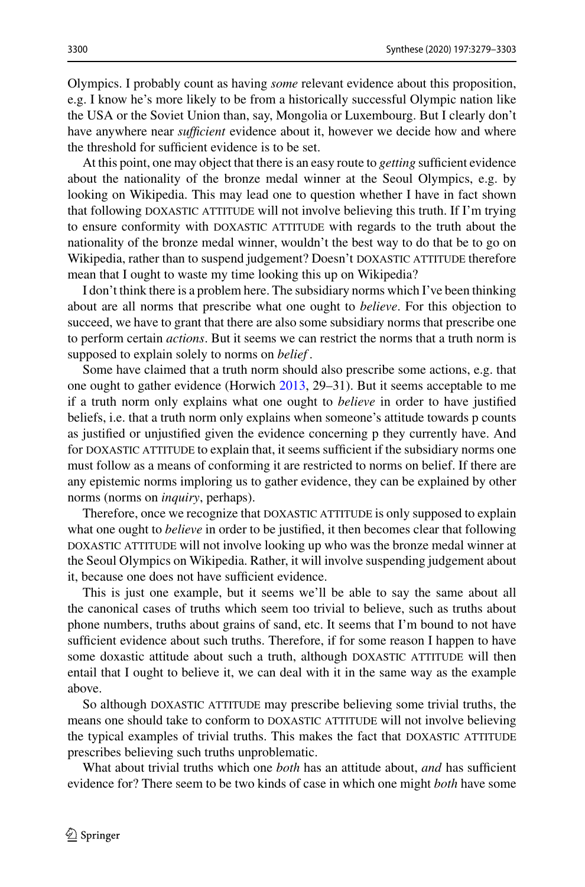Olympics. I probably count as having *some* relevant evidence about this proposition, e.g. I know he's more likely to be from a historically successful Olympic nation like the USA or the Soviet Union than, say, Mongolia or Luxembourg. But I clearly don't have anywhere near *sufficient* evidence about it, however we decide how and where the threshold for sufficient evidence is to be set.

At this point, one may object that there is an easy route to *getting* sufficient evidence about the nationality of the bronze medal winner at the Seoul Olympics, e.g. by looking on Wikipedia. This may lead one to question whether I have in fact shown that following DOXASTIC ATTITUDE will not involve believing this truth. If I'm trying to ensure conformity with DOXASTIC ATTITUDE with regards to the truth about the nationality of the bronze medal winner, wouldn't the best way to do that be to go on Wikipedia, rather than to suspend judgement? Doesn't DOXASTIC ATTITUDE therefore mean that I ought to waste my time looking this up on Wikipedia?

I don't think there is a problem here. The subsidiary norms which I've been thinking about are all norms that prescribe what one ought to *believe*. For this objection to succeed, we have to grant that there are also some subsidiary norms that prescribe one to perform certain *actions*. But it seems we can restrict the norms that a truth norm is supposed to explain solely to norms on *belief* .

Some have claimed that a truth norm should also prescribe some actions, e.g. that one ought to gather evidence (Horwich [2013,](#page-24-35) 29–31). But it seems acceptable to me if a truth norm only explains what one ought to *believe* in order to have justified beliefs, i.e. that a truth norm only explains when someone's attitude towards p counts as justified or unjustified given the evidence concerning p they currently have. And for DOXASTIC ATTITUDE to explain that, it seems sufficient if the subsidiary norms one must follow as a means of conforming it are restricted to norms on belief. If there are any epistemic norms imploring us to gather evidence, they can be explained by other norms (norms on *inquiry*, perhaps).

Therefore, once we recognize that DOXASTIC ATTITUDE is only supposed to explain what one ought to *believe* in order to be justified, it then becomes clear that following doxastic attitude will not involve looking up who was the bronze medal winner at the Seoul Olympics on Wikipedia. Rather, it will involve suspending judgement about it, because one does not have sufficient evidence.

This is just one example, but it seems we'll be able to say the same about all the canonical cases of truths which seem too trivial to believe, such as truths about phone numbers, truths about grains of sand, etc. It seems that I'm bound to not have sufficient evidence about such truths. Therefore, if for some reason I happen to have some doxastic attitude about such a truth, although DOXASTIC ATTITUDE will then entail that I ought to believe it, we can deal with it in the same way as the example above.

So although DOXASTIC ATTITUDE may prescribe believing some trivial truths, the means one should take to conform to DOXASTIC ATTITUDE will not involve believing the typical examples of trivial truths. This makes the fact that DOXASTIC ATTITUDE prescribes believing such truths unproblematic.

What about trivial truths which one *both* has an attitude about, *and* has sufficient evidence for? There seem to be two kinds of case in which one might *both* have some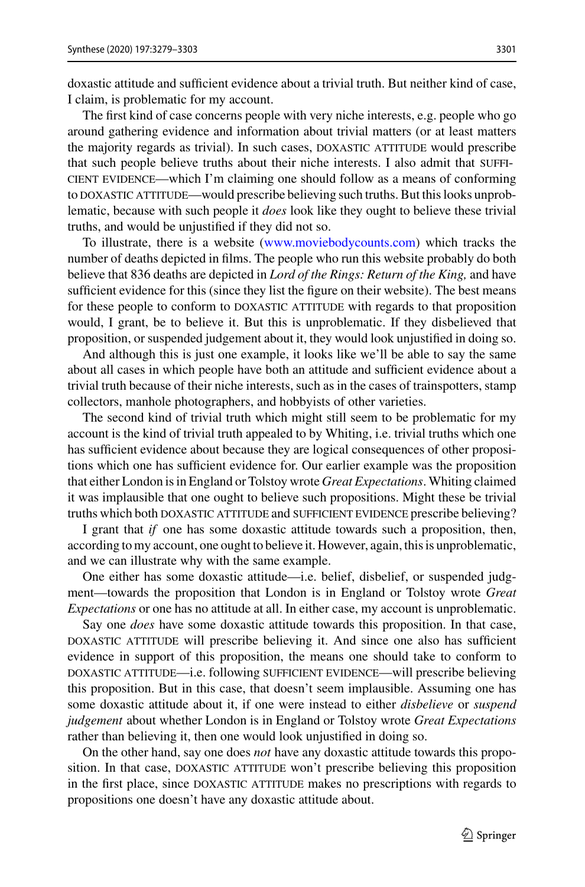doxastic attitude and sufficient evidence about a trivial truth. But neither kind of case, I claim, is problematic for my account.

The first kind of case concerns people with very niche interests, e.g. people who go around gathering evidence and information about trivial matters (or at least matters the majority regards as trivial). In such cases, DOXASTIC ATTITUDE would prescribe that such people believe truths about their niche interests. I also admit that sufficient evidence—which I'm claiming one should follow as a means of conforming to doxastic attitude—would prescribe believing such truths. But this looks unproblematic, because with such people it *does* look like they ought to believe these trivial truths, and would be unjustified if they did not so.

To illustrate, there is a website [\(www.moviebodycounts.com\)](http://www.moviebodycounts.com) which tracks the number of deaths depicted in films. The people who run this website probably do both believe that 836 deaths are depicted in *Lord of the Rings: Return of the King,* and have sufficient evidence for this (since they list the figure on their website). The best means for these people to conform to DOXASTIC ATTITUDE with regards to that proposition would, I grant, be to believe it. But this is unproblematic. If they disbelieved that proposition, or suspended judgement about it, they would look unjustified in doing so.

And although this is just one example, it looks like we'll be able to say the same about all cases in which people have both an attitude and sufficient evidence about a trivial truth because of their niche interests, such as in the cases of trainspotters, stamp collectors, manhole photographers, and hobbyists of other varieties.

The second kind of trivial truth which might still seem to be problematic for my account is the kind of trivial truth appealed to by Whiting, i.e. trivial truths which one has sufficient evidence about because they are logical consequences of other propositions which one has sufficient evidence for. Our earlier example was the proposition that either London is in England or Tolstoy wrote *Great Expectations*. Whiting claimed it was implausible that one ought to believe such propositions. Might these be trivial truths which both DOXASTIC ATTITUDE and SUFFICIENT EVIDENCE prescribe believing?

I grant that *if* one has some doxastic attitude towards such a proposition, then, according to my account, one ought to believe it. However, again, this is unproblematic, and we can illustrate why with the same example.

One either has some doxastic attitude—i.e. belief, disbelief, or suspended judgment—towards the proposition that London is in England or Tolstoy wrote *Great Expectations* or one has no attitude at all. In either case, my account is unproblematic.

Say one *does* have some doxastic attitude towards this proposition. In that case, doxastic attitude will prescribe believing it. And since one also has sufficient evidence in support of this proposition, the means one should take to conform to doxastic attitude—i.e. following sufficient evidence—will prescribe believing this proposition. But in this case, that doesn't seem implausible. Assuming one has some doxastic attitude about it, if one were instead to either *disbelieve* or *suspend judgement* about whether London is in England or Tolstoy wrote *Great Expectations* rather than believing it, then one would look unjustified in doing so.

On the other hand, say one does *not* have any doxastic attitude towards this proposition. In that case, DOXASTIC ATTITUDE won't prescribe believing this proposition in the first place, since DOXASTIC ATTITUDE makes no prescriptions with regards to propositions one doesn't have any doxastic attitude about.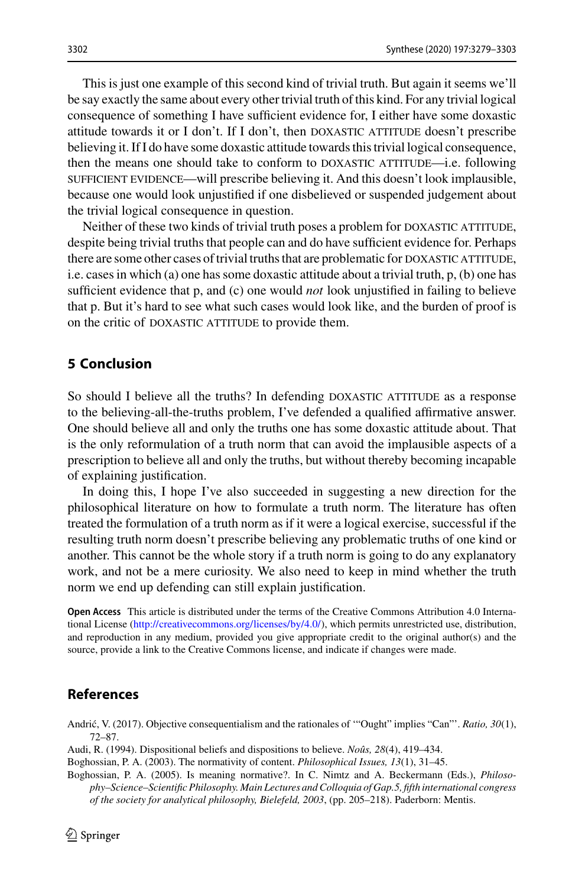This is just one example of this second kind of trivial truth. But again it seems we'll be say exactly the same about every other trivial truth of this kind. For any trivial logical consequence of something I have sufficient evidence for, I either have some doxastic attitude towards it or I don't. If I don't, then DOXASTIC ATTITUDE doesn't prescribe believing it. If I do have some doxastic attitude towards this trivial logical consequence, then the means one should take to conform to DOXASTIC ATTITUDE—i.e. following sufficient evidence—will prescribe believing it. And this doesn't look implausible, because one would look unjustified if one disbelieved or suspended judgement about the trivial logical consequence in question.

Neither of these two kinds of trivial truth poses a problem for DOXASTIC ATTITUDE, despite being trivial truths that people can and do have sufficient evidence for. Perhaps there are some other cases of trivial truths that are problematic for DOXASTIC ATTITUDE, i.e. cases in which (a) one has some doxastic attitude about a trivial truth, p, (b) one has sufficient evidence that p, and (c) one would *not* look unjustified in failing to believe that p. But it's hard to see what such cases would look like, and the burden of proof is on the critic of DOXASTIC ATTITUDE to provide them.

### **5 Conclusion**

So should I believe all the truths? In defending DOXASTIC ATTITUDE as a response to the believing-all-the-truths problem, I've defended a qualified affirmative answer. One should believe all and only the truths one has some doxastic attitude about. That is the only reformulation of a truth norm that can avoid the implausible aspects of a prescription to believe all and only the truths, but without thereby becoming incapable of explaining justification.

In doing this, I hope I've also succeeded in suggesting a new direction for the philosophical literature on how to formulate a truth norm. The literature has often treated the formulation of a truth norm as if it were a logical exercise, successful if the resulting truth norm doesn't prescribe believing any problematic truths of one kind or another. This cannot be the whole story if a truth norm is going to do any explanatory work, and not be a mere curiosity. We also need to keep in mind whether the truth norm we end up defending can still explain justification.

**Open Access** This article is distributed under the terms of the Creative Commons Attribution 4.0 International License [\(http://creativecommons.org/licenses/by/4.0/\)](http://creativecommons.org/licenses/by/4.0/), which permits unrestricted use, distribution, and reproduction in any medium, provided you give appropriate credit to the original author(s) and the source, provide a link to the Creative Commons license, and indicate if changes were made.

## **References**

<span id="page-23-3"></span>Andrić, V. (2017). Objective consequentialism and the rationales of "Ought" implies "Can"'. *Ratio*, 30(1), 72–87.

<span id="page-23-2"></span>Audi, R. (1994). Dispositional beliefs and dispositions to believe. *Noûs, 28*(4), 419–434.

<span id="page-23-0"></span>Boghossian, P. A. (2003). The normativity of content. *Philosophical Issues, 13*(1), 31–45.

<span id="page-23-1"></span>Boghossian, P. A. (2005). Is meaning normative?. In C. Nimtz and A. Beckermann (Eds.), *Philosophy*–*Science*–*Scientific Philosophy. Main Lectures and Colloquia of Gap.5, fifth international congress of the society for analytical philosophy, Bielefeld, 2003*, (pp. 205–218). Paderborn: Mentis.